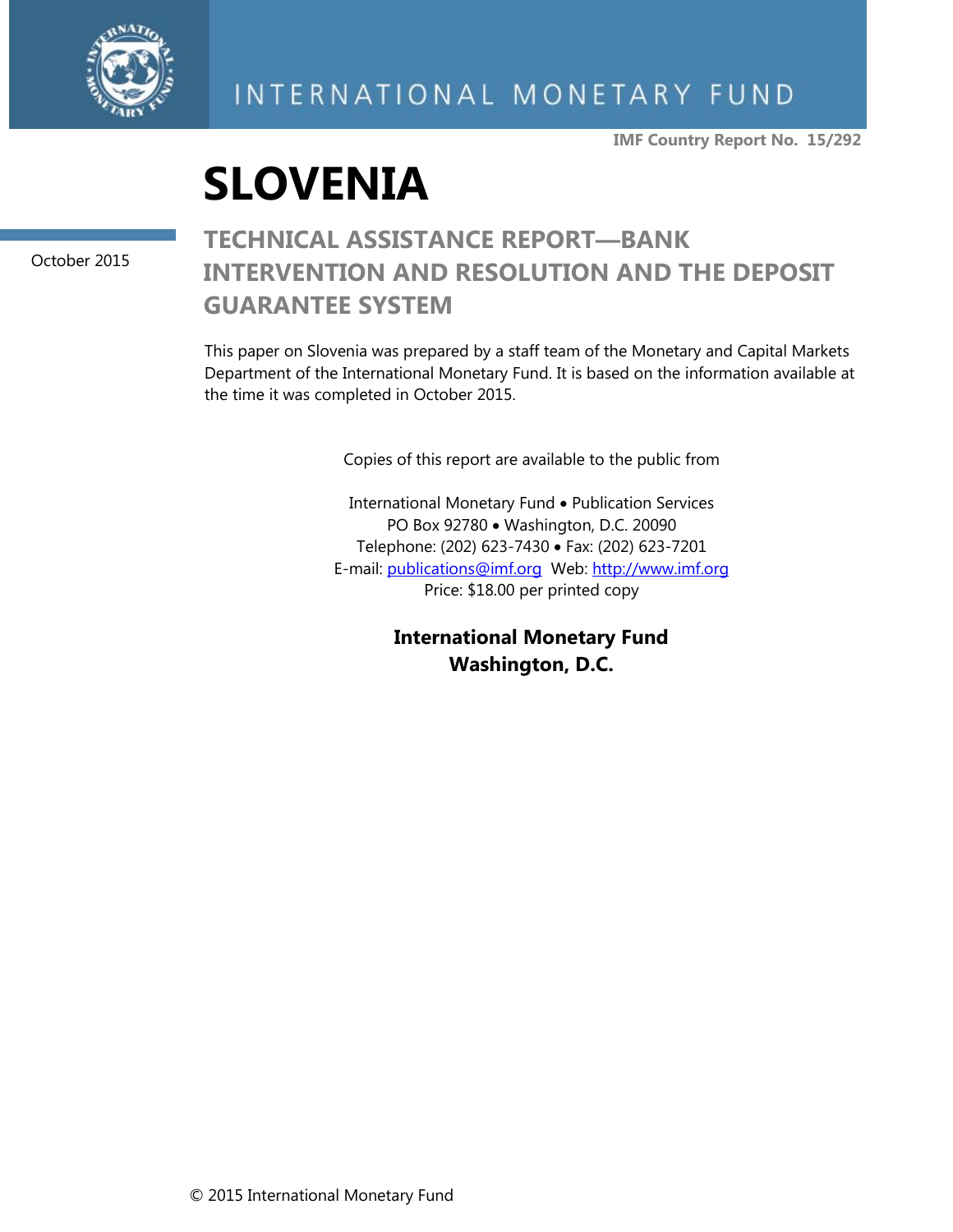

# INTERNATIONAL MONETARY FUND

**IMF Country Report No. 15/292**



October 2015

# **TECHNICAL ASSISTANCE REPORT—BANK INTERVENTION AND RESOLUTION AND THE DEPOSIT GUARANTEE SYSTEM**

This paper on Slovenia was prepared by a staff team of the Monetary and Capital Markets Department of the International Monetary Fund. It is based on the information available at the time it was completed in October 2015.

Copies of this report are available to the public from

International Monetary Fund • Publication Services PO Box 92780 • Washington, D.C. 20090 Telephone: (202) 623-7430 Fax: (202) 623-7201 E-mail: [publications@imf.org](mailto:publications@imf.org) Web: [http://www.imf.org](http://www.imf.org/) Price: \$18.00 per printed copy

> **International Monetary Fund Washington, D.C.**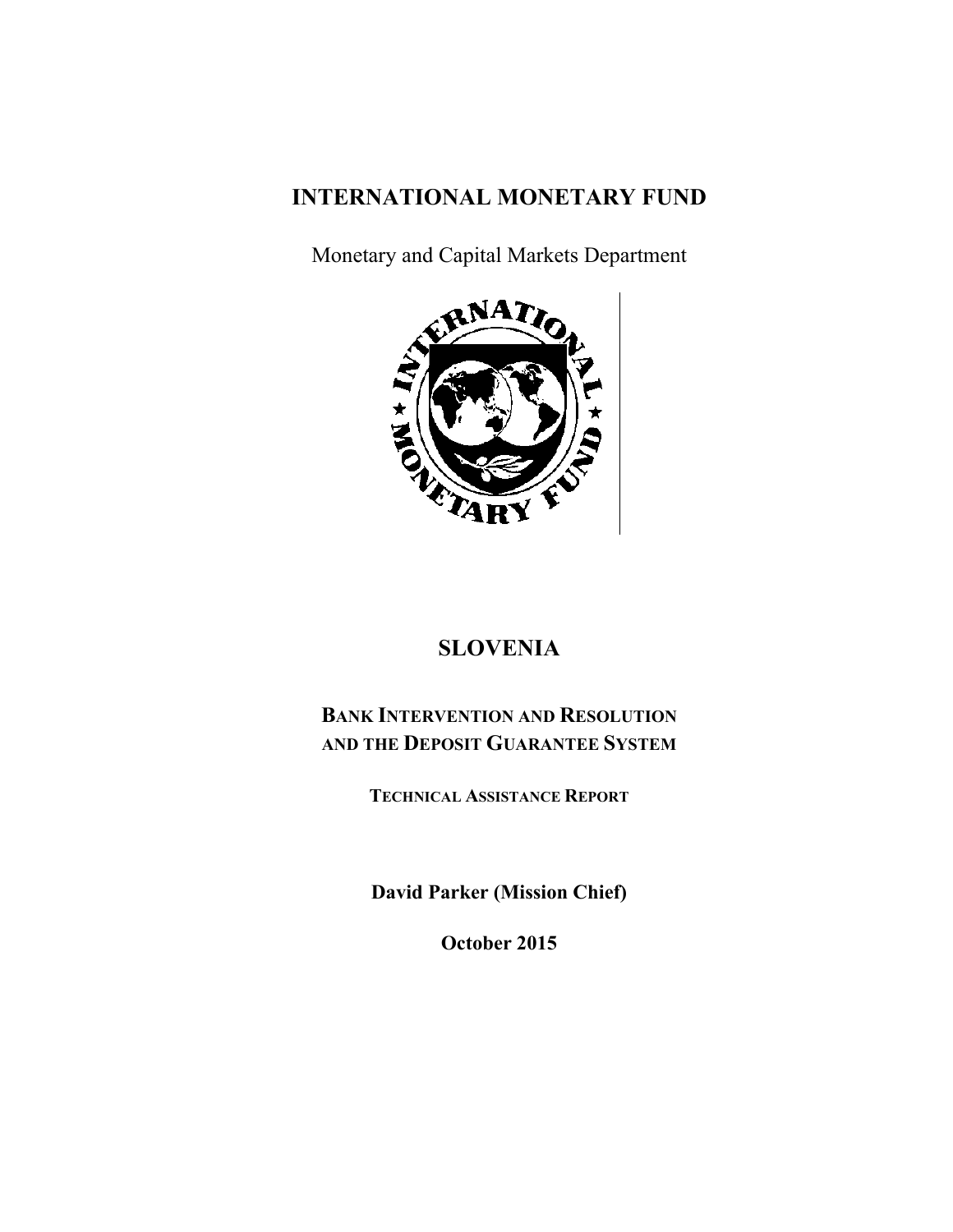# **INTERNATIONAL MONETARY FUND**

Monetary and Capital Markets Department



# **SLOVENIA**

# **BANK INTERVENTION AND RESOLUTION AND THE DEPOSIT GUARANTEE SYSTEM**

**TECHNICAL ASSISTANCE REPORT**

**David Parker (Mission Chief)** 

**October 2015**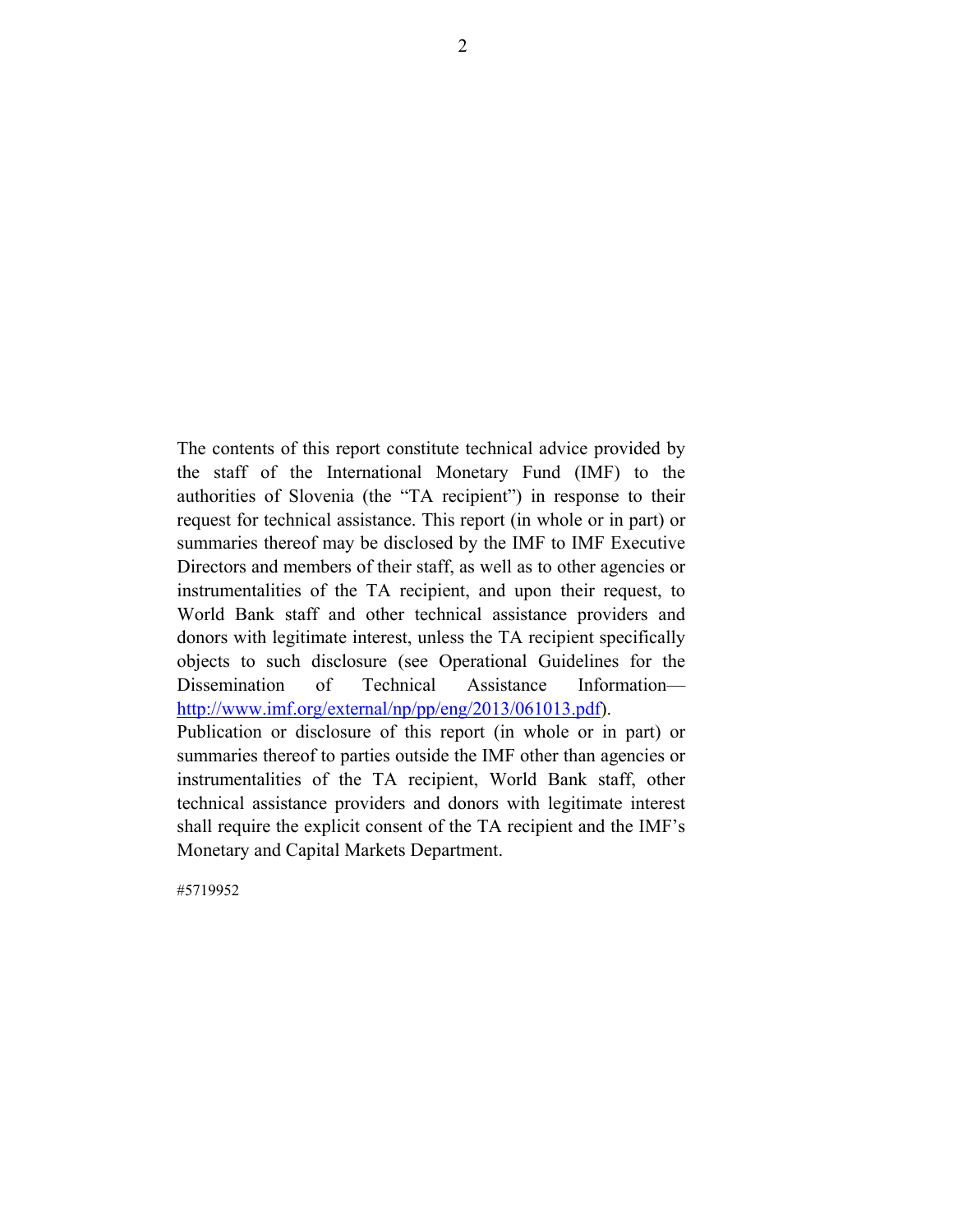The contents of this report constitute technical advice provided by the staff of the International Monetary Fund (IMF) to the authorities of Slovenia (the "TA recipient") in response to their request for technical assistance. This report (in whole or in part) or summaries thereof may be disclosed by the IMF to IMF Executive Directors and members of their staff, as well as to other agencies or instrumentalities of the TA recipient, and upon their request, to World Bank staff and other technical assistance providers and donors with legitimate interest, unless the TA recipient specifically objects to such disclosure (see Operational Guidelines for the Dissemination of Technical Assistance Information http://www.imf.org/external/np/pp/eng/2013/061013.pdf).

Publication or disclosure of this report (in whole or in part) or summaries thereof to parties outside the IMF other than agencies or instrumentalities of the TA recipient, World Bank staff, other technical assistance providers and donors with legitimate interest shall require the explicit consent of the TA recipient and the IMF's Monetary and Capital Markets Department.

#5719952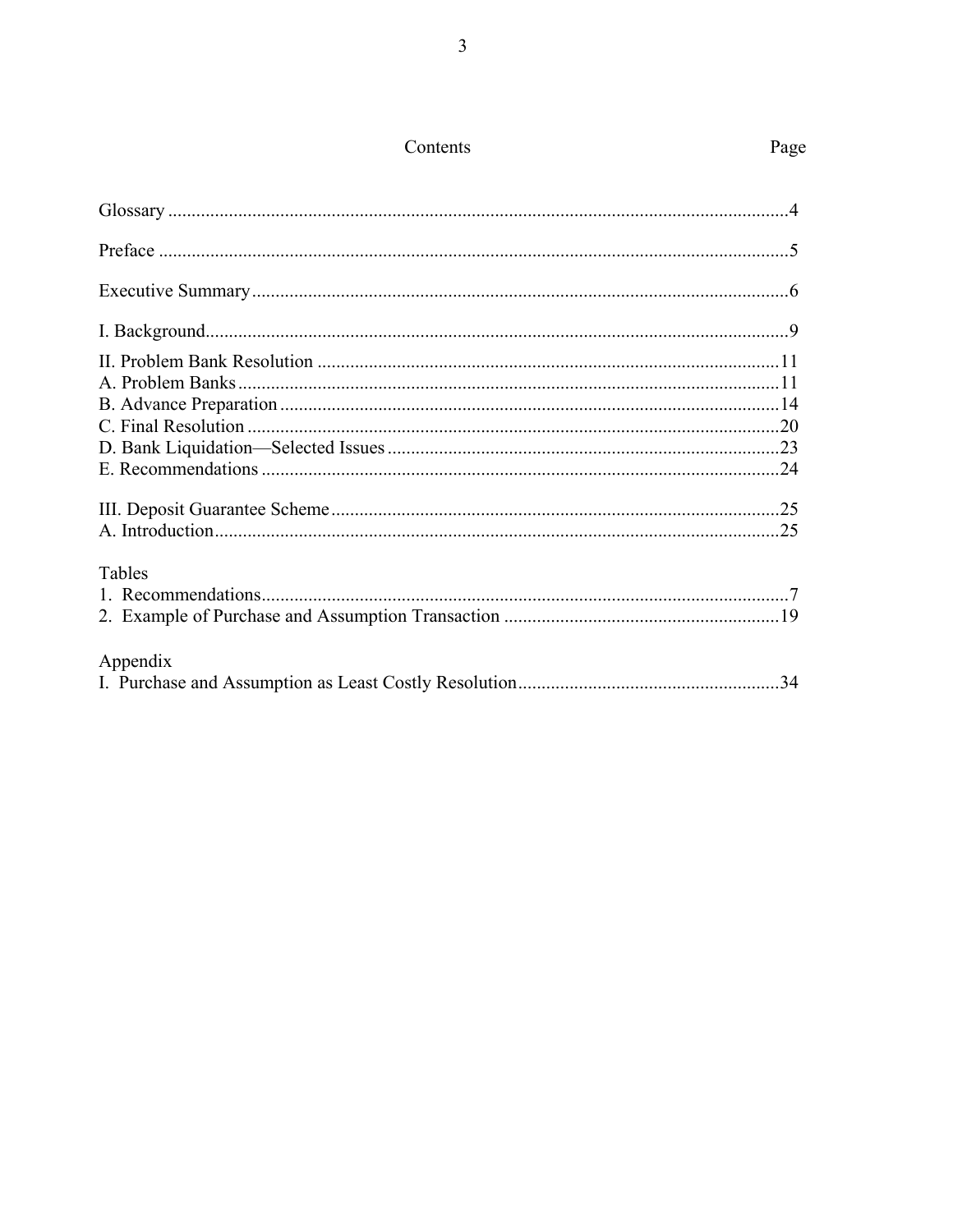| Tables   |  |
|----------|--|
|          |  |
|          |  |
|          |  |
| Appendix |  |
|          |  |

Page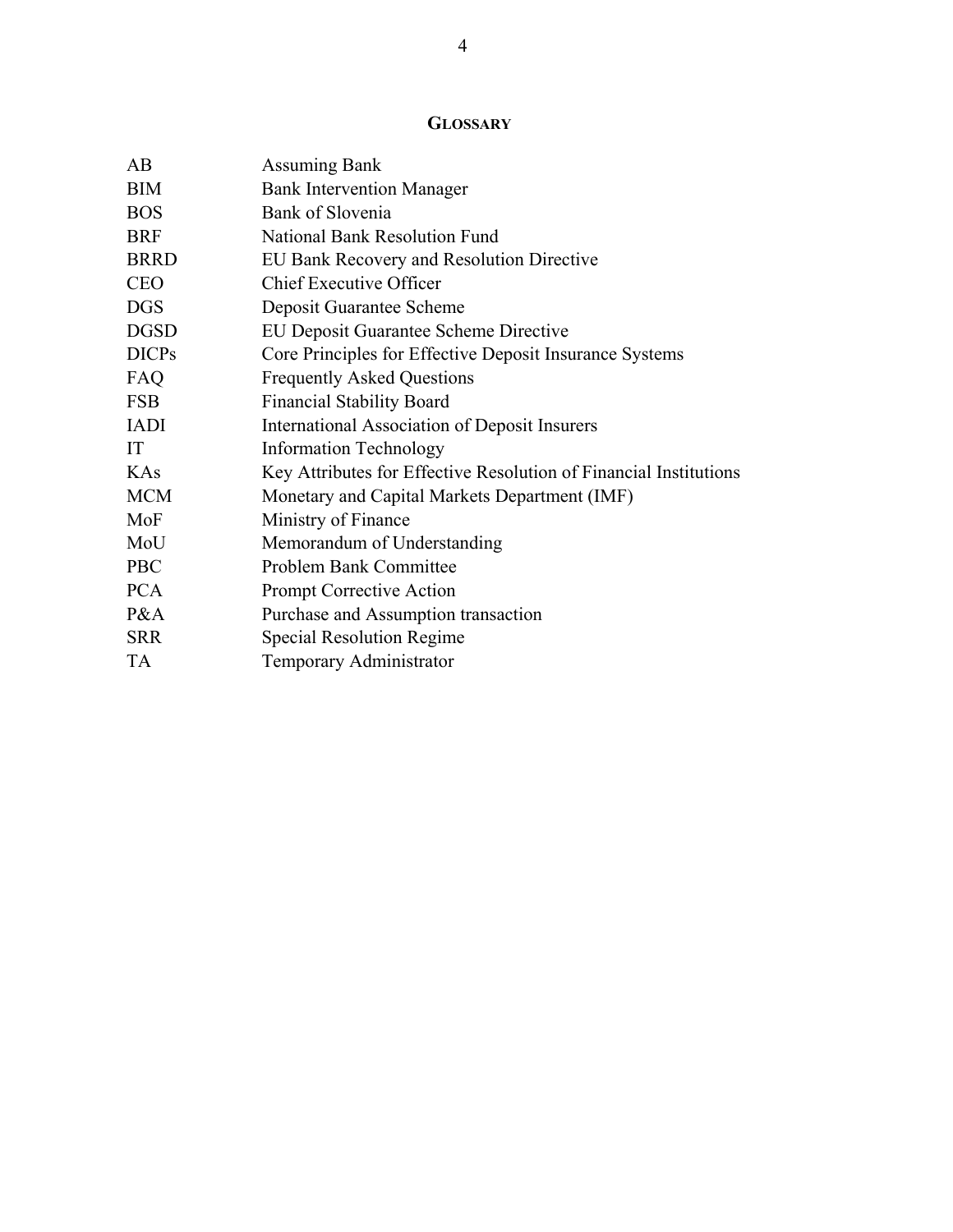# **GLOSSARY**

| AB           | <b>Assuming Bank</b>                                              |
|--------------|-------------------------------------------------------------------|
| <b>BIM</b>   | <b>Bank Intervention Manager</b>                                  |
| <b>BOS</b>   | Bank of Slovenia                                                  |
| <b>BRF</b>   | National Bank Resolution Fund                                     |
| <b>BRRD</b>  | EU Bank Recovery and Resolution Directive                         |
| <b>CEO</b>   | <b>Chief Executive Officer</b>                                    |
| <b>DGS</b>   | Deposit Guarantee Scheme                                          |
| <b>DGSD</b>  | <b>EU Deposit Guarantee Scheme Directive</b>                      |
| <b>DICPs</b> | Core Principles for Effective Deposit Insurance Systems           |
| FAQ          | <b>Frequently Asked Questions</b>                                 |
| <b>FSB</b>   | <b>Financial Stability Board</b>                                  |
| <b>IADI</b>  | International Association of Deposit Insurers                     |
| IT           | <b>Information Technology</b>                                     |
| KAs          | Key Attributes for Effective Resolution of Financial Institutions |
| <b>MCM</b>   | Monetary and Capital Markets Department (IMF)                     |
| MoF          | Ministry of Finance                                               |
| MoU          | Memorandum of Understanding                                       |
| <b>PBC</b>   | Problem Bank Committee                                            |
| <b>PCA</b>   | Prompt Corrective Action                                          |
| P&A          | Purchase and Assumption transaction                               |
| <b>SRR</b>   | Special Resolution Regime                                         |
| <b>TA</b>    | Temporary Administrator                                           |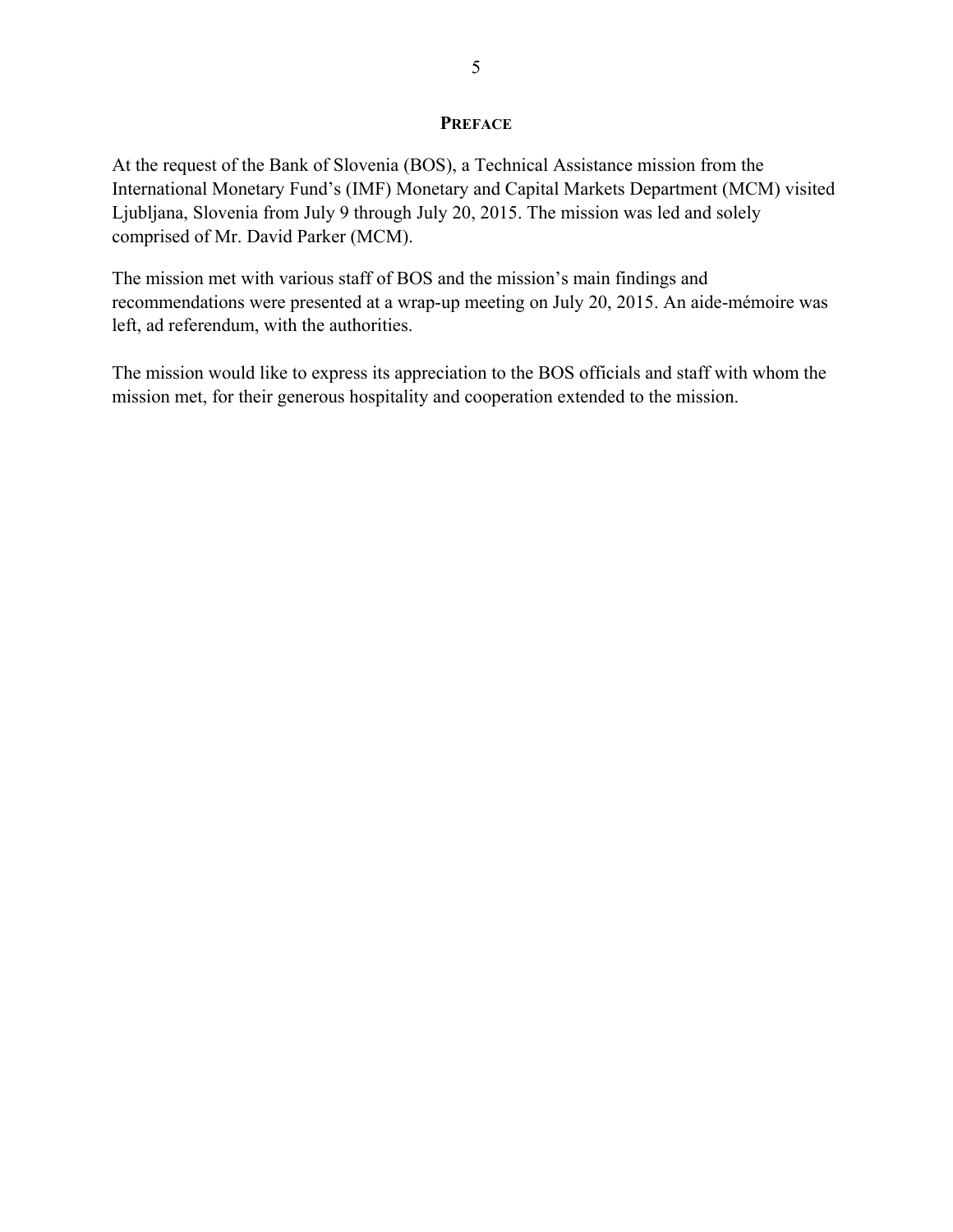### **PREFACE**

At the request of the Bank of Slovenia (BOS), a Technical Assistance mission from the International Monetary Fund's (IMF) Monetary and Capital Markets Department (MCM) visited Ljubljana, Slovenia from July 9 through July 20, 2015. The mission was led and solely comprised of Mr. David Parker (MCM).

The mission met with various staff of BOS and the mission's main findings and recommendations were presented at a wrap-up meeting on July 20, 2015. An aide-mémoire was left, ad referendum, with the authorities.

The mission would like to express its appreciation to the BOS officials and staff with whom the mission met, for their generous hospitality and cooperation extended to the mission.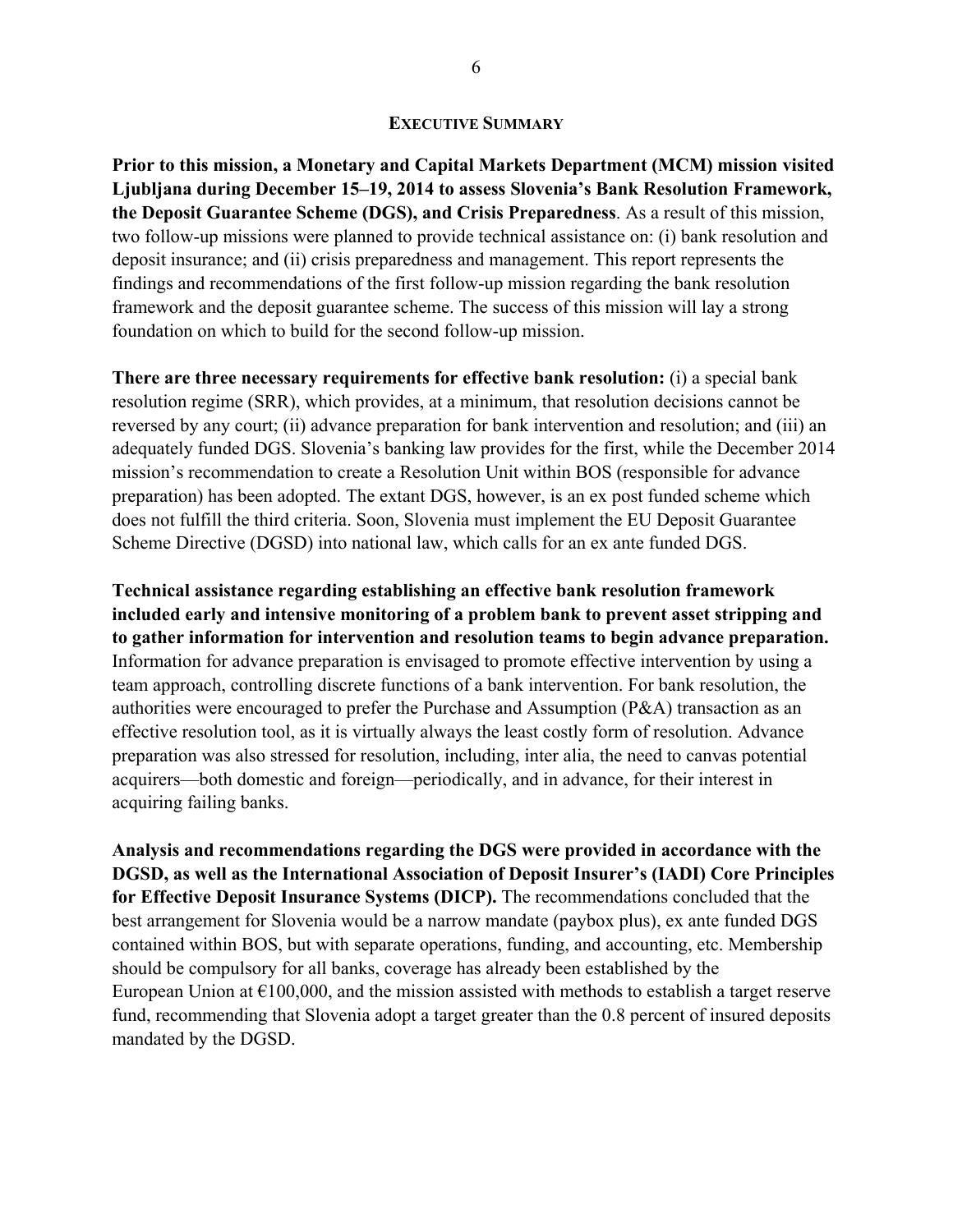#### **EXECUTIVE SUMMARY**

**Prior to this mission, a Monetary and Capital Markets Department (MCM) mission visited Ljubljana during December 15–19, 2014 to assess Slovenia's Bank Resolution Framework, the Deposit Guarantee Scheme (DGS), and Crisis Preparedness**. As a result of this mission, two follow-up missions were planned to provide technical assistance on: (i) bank resolution and deposit insurance; and (ii) crisis preparedness and management. This report represents the findings and recommendations of the first follow-up mission regarding the bank resolution framework and the deposit guarantee scheme. The success of this mission will lay a strong foundation on which to build for the second follow-up mission.

**There are three necessary requirements for effective bank resolution:** (i) a special bank resolution regime (SRR), which provides, at a minimum, that resolution decisions cannot be reversed by any court; (ii) advance preparation for bank intervention and resolution; and (iii) an adequately funded DGS. Slovenia's banking law provides for the first, while the December 2014 mission's recommendation to create a Resolution Unit within BOS (responsible for advance preparation) has been adopted. The extant DGS, however, is an ex post funded scheme which does not fulfill the third criteria. Soon, Slovenia must implement the EU Deposit Guarantee Scheme Directive (DGSD) into national law, which calls for an ex ante funded DGS.

**Technical assistance regarding establishing an effective bank resolution framework included early and intensive monitoring of a problem bank to prevent asset stripping and to gather information for intervention and resolution teams to begin advance preparation.** Information for advance preparation is envisaged to promote effective intervention by using a team approach, controlling discrete functions of a bank intervention. For bank resolution, the authorities were encouraged to prefer the Purchase and Assumption (P&A) transaction as an effective resolution tool, as it is virtually always the least costly form of resolution. Advance preparation was also stressed for resolution, including, inter alia, the need to canvas potential acquirers—both domestic and foreign—periodically, and in advance, for their interest in acquiring failing banks.

**Analysis and recommendations regarding the DGS were provided in accordance with the DGSD, as well as the International Association of Deposit Insurer's (IADI) Core Principles for Effective Deposit Insurance Systems (DICP).** The recommendations concluded that the best arrangement for Slovenia would be a narrow mandate (paybox plus), ex ante funded DGS contained within BOS, but with separate operations, funding, and accounting, etc. Membership should be compulsory for all banks, coverage has already been established by the European Union at  $\epsilon$ 100,000, and the mission assisted with methods to establish a target reserve fund, recommending that Slovenia adopt a target greater than the 0.8 percent of insured deposits mandated by the DGSD.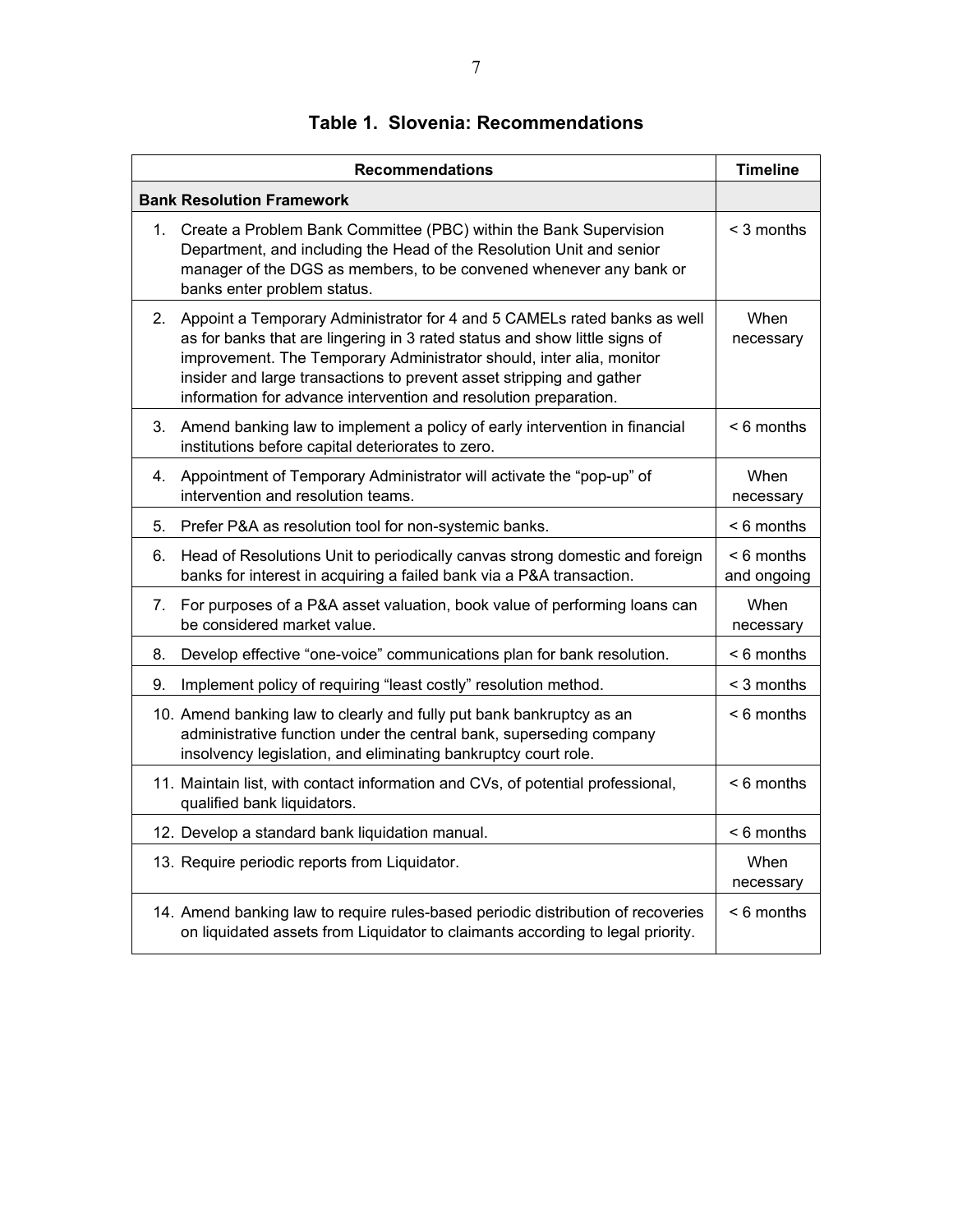|                                  | <b>Recommendations</b>                                                                                                                                                                                                                                                                                                                                                     | <b>Timeline</b>             |
|----------------------------------|----------------------------------------------------------------------------------------------------------------------------------------------------------------------------------------------------------------------------------------------------------------------------------------------------------------------------------------------------------------------------|-----------------------------|
|                                  | <b>Bank Resolution Framework</b>                                                                                                                                                                                                                                                                                                                                           |                             |
| 1.                               | Create a Problem Bank Committee (PBC) within the Bank Supervision<br>Department, and including the Head of the Resolution Unit and senior<br>manager of the DGS as members, to be convened whenever any bank or<br>banks enter problem status.                                                                                                                             | < 3 months                  |
| 2.                               | Appoint a Temporary Administrator for 4 and 5 CAMELs rated banks as well<br>as for banks that are lingering in 3 rated status and show little signs of<br>improvement. The Temporary Administrator should, inter alia, monitor<br>insider and large transactions to prevent asset stripping and gather<br>information for advance intervention and resolution preparation. | When<br>necessary           |
| 3.                               | Amend banking law to implement a policy of early intervention in financial<br>institutions before capital deteriorates to zero.                                                                                                                                                                                                                                            | $< 6$ months                |
| 4.                               | Appointment of Temporary Administrator will activate the "pop-up" of<br>intervention and resolution teams.                                                                                                                                                                                                                                                                 | When<br>necessary           |
| 5.                               | Prefer P&A as resolution tool for non-systemic banks.                                                                                                                                                                                                                                                                                                                      | $< 6$ months                |
| 6.                               | Head of Resolutions Unit to periodically canvas strong domestic and foreign<br>banks for interest in acquiring a failed bank via a P&A transaction.                                                                                                                                                                                                                        | $< 6$ months<br>and ongoing |
| $7_{\scriptscriptstyle{\ddots}}$ | For purposes of a P&A asset valuation, book value of performing loans can<br>be considered market value.                                                                                                                                                                                                                                                                   | When<br>necessary           |
| 8.                               | Develop effective "one-voice" communications plan for bank resolution.                                                                                                                                                                                                                                                                                                     | $< 6$ months                |
| 9.                               | Implement policy of requiring "least costly" resolution method.                                                                                                                                                                                                                                                                                                            | $<$ 3 months                |
|                                  | 10. Amend banking law to clearly and fully put bank bankruptcy as an<br>administrative function under the central bank, superseding company<br>insolvency legislation, and eliminating bankruptcy court role.                                                                                                                                                              | $< 6$ months                |
|                                  | 11. Maintain list, with contact information and CVs, of potential professional,<br>qualified bank liquidators.                                                                                                                                                                                                                                                             | $< 6$ months                |
|                                  | 12. Develop a standard bank liquidation manual.                                                                                                                                                                                                                                                                                                                            | $< 6$ months                |
|                                  | 13. Require periodic reports from Liquidator.                                                                                                                                                                                                                                                                                                                              | When<br>necessary           |
|                                  | 14. Amend banking law to require rules-based periodic distribution of recoveries<br>on liquidated assets from Liquidator to claimants according to legal priority.                                                                                                                                                                                                         | $< 6$ months                |

# **Table 1. Slovenia: Recommendations**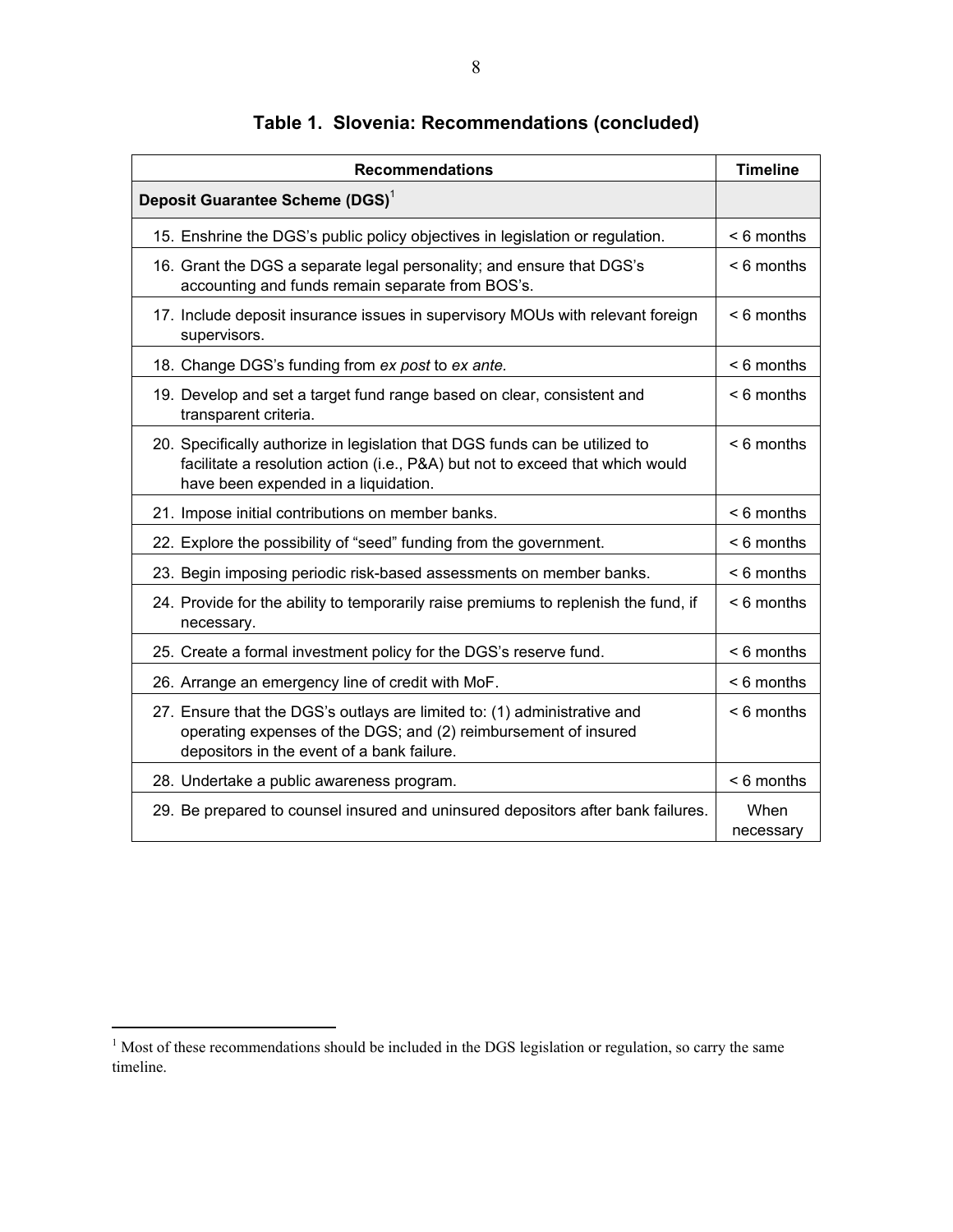| <b>Recommendations</b>                                                                                                                                                                               | <b>Timeline</b>   |
|------------------------------------------------------------------------------------------------------------------------------------------------------------------------------------------------------|-------------------|
| Deposit Guarantee Scheme (DGS) <sup>1</sup>                                                                                                                                                          |                   |
| 15. Enshrine the DGS's public policy objectives in legislation or regulation.                                                                                                                        | $<$ 6 months      |
| 16. Grant the DGS a separate legal personality; and ensure that DGS's<br>accounting and funds remain separate from BOS's.                                                                            | $< 6$ months      |
| 17. Include deposit insurance issues in supervisory MOUs with relevant foreign<br>supervisors.                                                                                                       | $< 6$ months      |
| 18. Change DGS's funding from ex post to ex ante.                                                                                                                                                    | $<$ 6 months      |
| 19. Develop and set a target fund range based on clear, consistent and<br>transparent criteria.                                                                                                      | $< 6$ months      |
| 20. Specifically authorize in legislation that DGS funds can be utilized to<br>facilitate a resolution action (i.e., P&A) but not to exceed that which would<br>have been expended in a liquidation. | $< 6$ months      |
| 21. Impose initial contributions on member banks.                                                                                                                                                    | $< 6$ months      |
| 22. Explore the possibility of "seed" funding from the government.                                                                                                                                   | $< 6$ months      |
| 23. Begin imposing periodic risk-based assessments on member banks.                                                                                                                                  | $< 6$ months      |
| 24. Provide for the ability to temporarily raise premiums to replenish the fund, if<br>necessary.                                                                                                    | $< 6$ months      |
| 25. Create a formal investment policy for the DGS's reserve fund.                                                                                                                                    | $< 6$ months      |
| 26. Arrange an emergency line of credit with MoF.                                                                                                                                                    | $< 6$ months      |
| 27. Ensure that the DGS's outlays are limited to: (1) administrative and<br>operating expenses of the DGS; and (2) reimbursement of insured<br>depositors in the event of a bank failure.            | $< 6$ months      |
| 28. Undertake a public awareness program.                                                                                                                                                            | < 6 months        |
| 29. Be prepared to counsel insured and uninsured depositors after bank failures.                                                                                                                     | When<br>necessary |

# **Table 1. Slovenia: Recommendations (concluded)**

<sup>&</sup>lt;sup>1</sup> Most of these recommendations should be included in the DGS legislation or regulation, so carry the same timeline.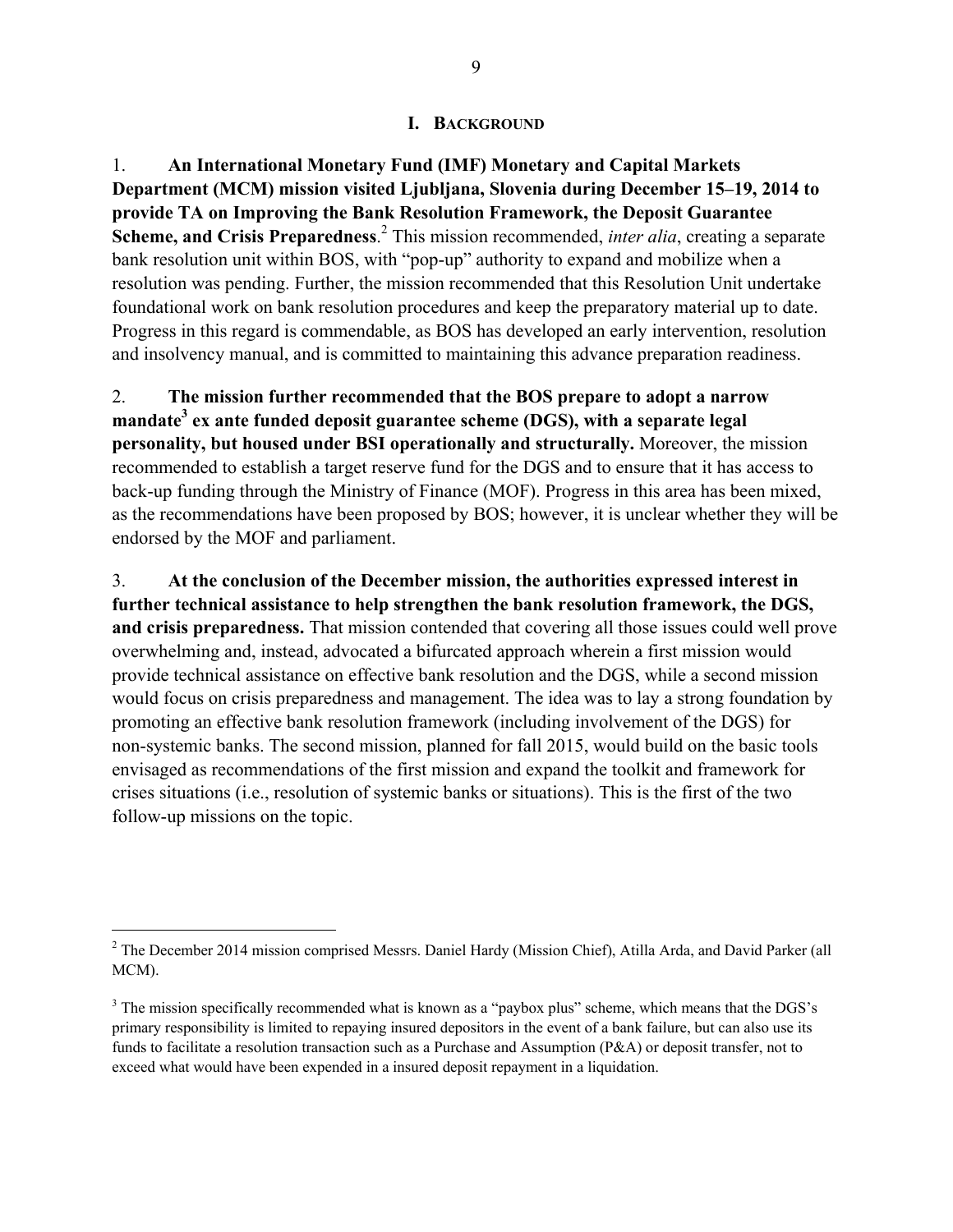### **I. BACKGROUND**

1. **An International Monetary Fund (IMF) Monetary and Capital Markets Department (MCM) mission visited Ljubljana, Slovenia during December 15–19, 2014 to provide TA on Improving the Bank Resolution Framework, the Deposit Guarantee**  Scheme, and Crisis Preparedness.<sup>2</sup> This mission recommended, *inter alia*, creating a separate bank resolution unit within BOS, with "pop-up" authority to expand and mobilize when a resolution was pending. Further, the mission recommended that this Resolution Unit undertake foundational work on bank resolution procedures and keep the preparatory material up to date. Progress in this regard is commendable, as BOS has developed an early intervention, resolution and insolvency manual, and is committed to maintaining this advance preparation readiness.

2. **The mission further recommended that the BOS prepare to adopt a narrow mandate3 ex ante funded deposit guarantee scheme (DGS), with a separate legal personality, but housed under BSI operationally and structurally.** Moreover, the mission recommended to establish a target reserve fund for the DGS and to ensure that it has access to back-up funding through the Ministry of Finance (MOF). Progress in this area has been mixed, as the recommendations have been proposed by BOS; however, it is unclear whether they will be endorsed by the MOF and parliament.

3. **At the conclusion of the December mission, the authorities expressed interest in further technical assistance to help strengthen the bank resolution framework, the DGS, and crisis preparedness.** That mission contended that covering all those issues could well prove overwhelming and, instead, advocated a bifurcated approach wherein a first mission would provide technical assistance on effective bank resolution and the DGS, while a second mission would focus on crisis preparedness and management. The idea was to lay a strong foundation by promoting an effective bank resolution framework (including involvement of the DGS) for non-systemic banks. The second mission, planned for fall 2015, would build on the basic tools envisaged as recommendations of the first mission and expand the toolkit and framework for crises situations (i.e., resolution of systemic banks or situations). This is the first of the two follow-up missions on the topic.

 $\overline{a}$ 

 $2$  The December 2014 mission comprised Messrs. Daniel Hardy (Mission Chief), Atilla Arda, and David Parker (all MCM).

 $3$  The mission specifically recommended what is known as a "paybox plus" scheme, which means that the DGS's primary responsibility is limited to repaying insured depositors in the event of a bank failure, but can also use its funds to facilitate a resolution transaction such as a Purchase and Assumption (P&A) or deposit transfer, not to exceed what would have been expended in a insured deposit repayment in a liquidation.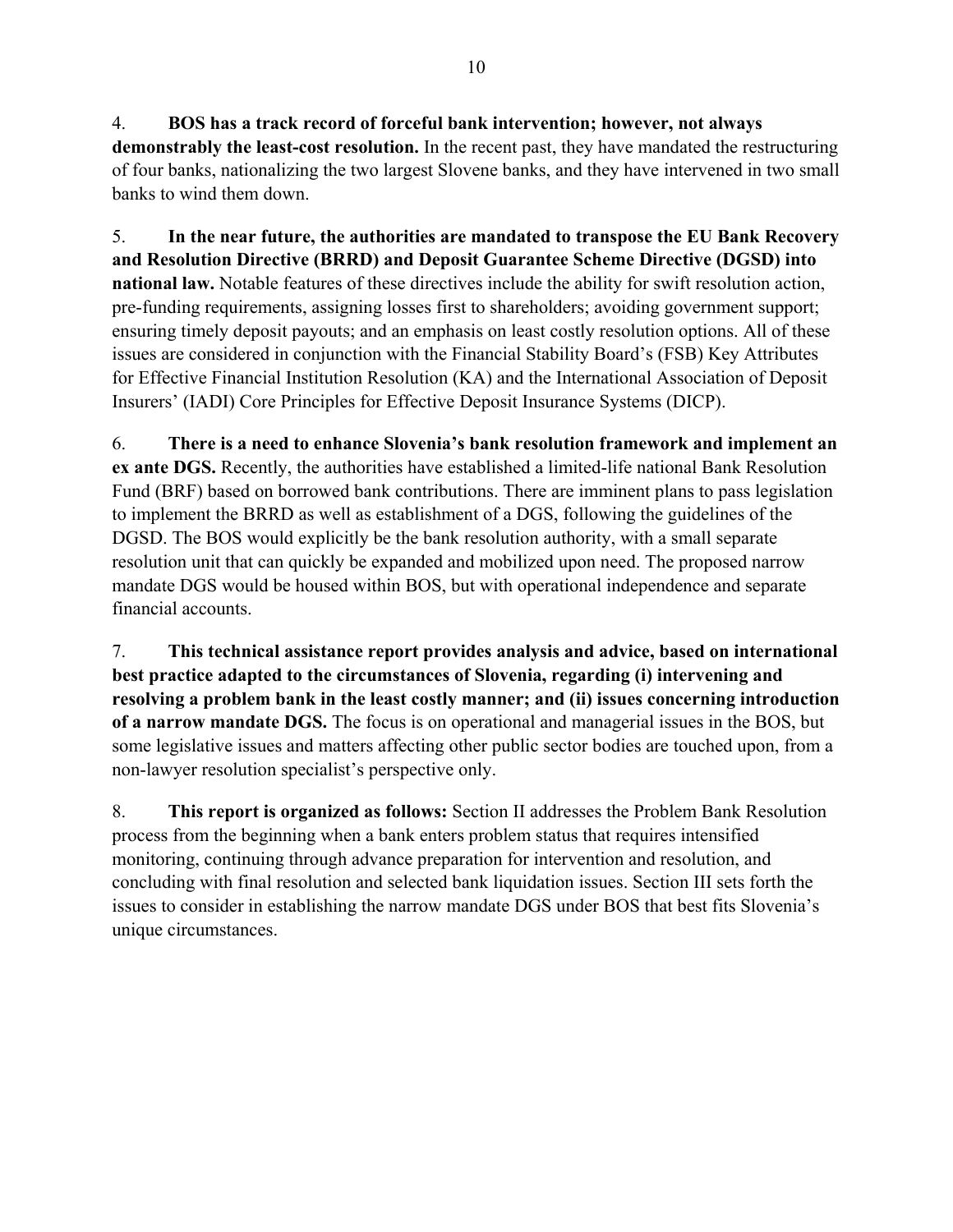4. **BOS has a track record of forceful bank intervention; however, not always demonstrably the least-cost resolution.** In the recent past, they have mandated the restructuring of four banks, nationalizing the two largest Slovene banks, and they have intervened in two small banks to wind them down.

5. **In the near future, the authorities are mandated to transpose the EU Bank Recovery and Resolution Directive (BRRD) and Deposit Guarantee Scheme Directive (DGSD) into national law.** Notable features of these directives include the ability for swift resolution action, pre-funding requirements, assigning losses first to shareholders; avoiding government support; ensuring timely deposit payouts; and an emphasis on least costly resolution options. All of these issues are considered in conjunction with the Financial Stability Board's (FSB) Key Attributes for Effective Financial Institution Resolution (KA) and the International Association of Deposit Insurers' (IADI) Core Principles for Effective Deposit Insurance Systems (DICP).

6. **There is a need to enhance Slovenia's bank resolution framework and implement an ex ante DGS.** Recently, the authorities have established a limited-life national Bank Resolution Fund (BRF) based on borrowed bank contributions. There are imminent plans to pass legislation to implement the BRRD as well as establishment of a DGS, following the guidelines of the DGSD. The BOS would explicitly be the bank resolution authority, with a small separate resolution unit that can quickly be expanded and mobilized upon need. The proposed narrow mandate DGS would be housed within BOS, but with operational independence and separate financial accounts.

7. **This technical assistance report provides analysis and advice, based on international best practice adapted to the circumstances of Slovenia, regarding (i) intervening and resolving a problem bank in the least costly manner; and (ii) issues concerning introduction of a narrow mandate DGS.** The focus is on operational and managerial issues in the BOS, but some legislative issues and matters affecting other public sector bodies are touched upon, from a non-lawyer resolution specialist's perspective only.

8. **This report is organized as follows:** Section II addresses the Problem Bank Resolution process from the beginning when a bank enters problem status that requires intensified monitoring, continuing through advance preparation for intervention and resolution, and concluding with final resolution and selected bank liquidation issues. Section III sets forth the issues to consider in establishing the narrow mandate DGS under BOS that best fits Slovenia's unique circumstances.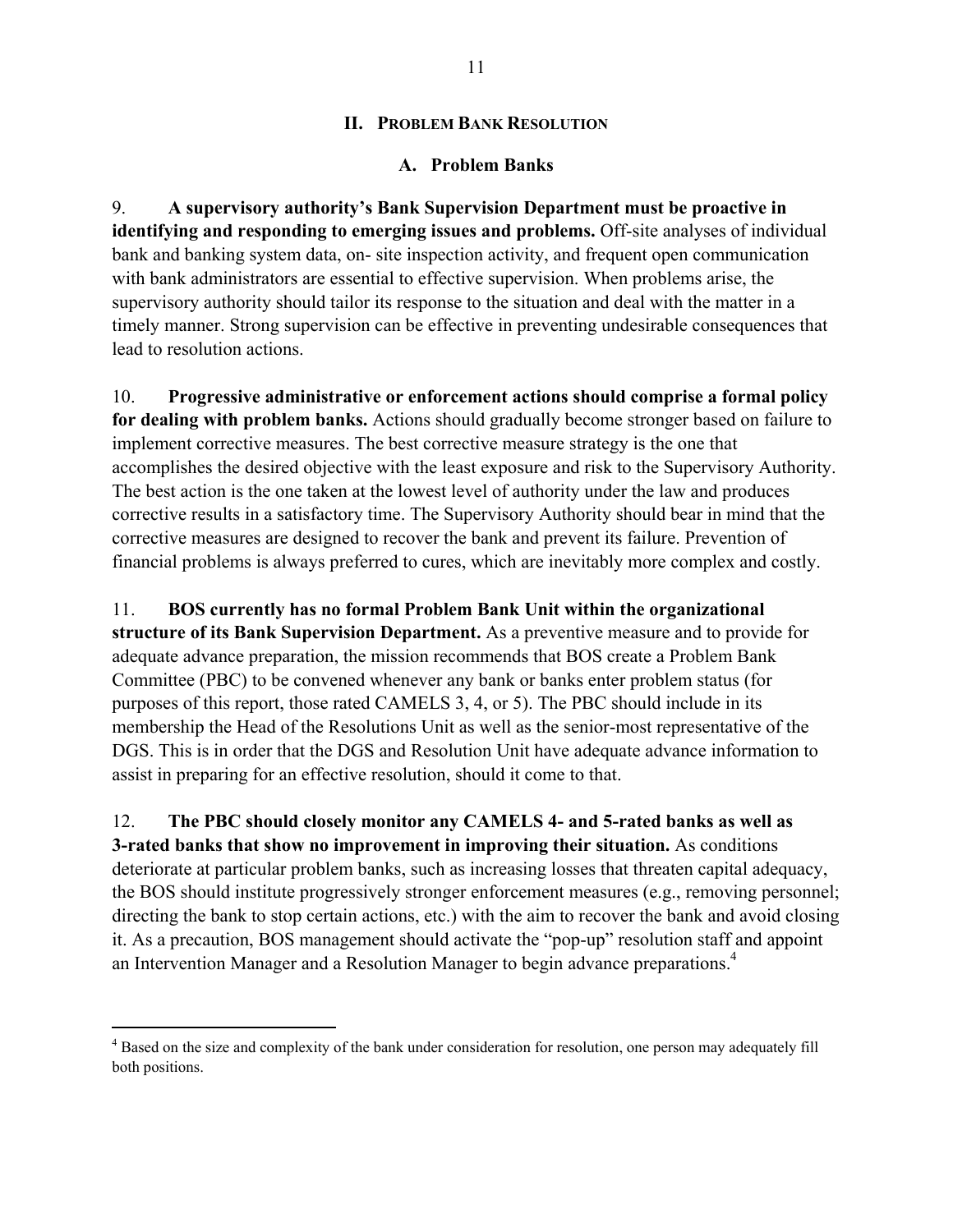### **II. PROBLEM BANK RESOLUTION**

### **A. Problem Banks**

9. **A supervisory authority's Bank Supervision Department must be proactive in identifying and responding to emerging issues and problems.** Off-site analyses of individual bank and banking system data, on- site inspection activity, and frequent open communication with bank administrators are essential to effective supervision. When problems arise, the supervisory authority should tailor its response to the situation and deal with the matter in a timely manner. Strong supervision can be effective in preventing undesirable consequences that lead to resolution actions.

10. **Progressive administrative or enforcement actions should comprise a formal policy for dealing with problem banks.** Actions should gradually become stronger based on failure to implement corrective measures. The best corrective measure strategy is the one that accomplishes the desired objective with the least exposure and risk to the Supervisory Authority. The best action is the one taken at the lowest level of authority under the law and produces corrective results in a satisfactory time. The Supervisory Authority should bear in mind that the corrective measures are designed to recover the bank and prevent its failure. Prevention of financial problems is always preferred to cures, which are inevitably more complex and costly.

11. **BOS currently has no formal Problem Bank Unit within the organizational** 

**structure of its Bank Supervision Department.** As a preventive measure and to provide for adequate advance preparation, the mission recommends that BOS create a Problem Bank Committee (PBC) to be convened whenever any bank or banks enter problem status (for purposes of this report, those rated CAMELS 3, 4, or 5). The PBC should include in its membership the Head of the Resolutions Unit as well as the senior-most representative of the DGS. This is in order that the DGS and Resolution Unit have adequate advance information to assist in preparing for an effective resolution, should it come to that.

12. **The PBC should closely monitor any CAMELS 4- and 5-rated banks as well as 3-rated banks that show no improvement in improving their situation.** As conditions deteriorate at particular problem banks, such as increasing losses that threaten capital adequacy, the BOS should institute progressively stronger enforcement measures (e.g., removing personnel; directing the bank to stop certain actions, etc.) with the aim to recover the bank and avoid closing it. As a precaution, BOS management should activate the "pop-up" resolution staff and appoint an Intervention Manager and a Resolution Manager to begin advance preparations.<sup>4</sup>

<u>.</u>

<sup>&</sup>lt;sup>4</sup> Based on the size and complexity of the bank under consideration for resolution, one person may adequately fill both positions.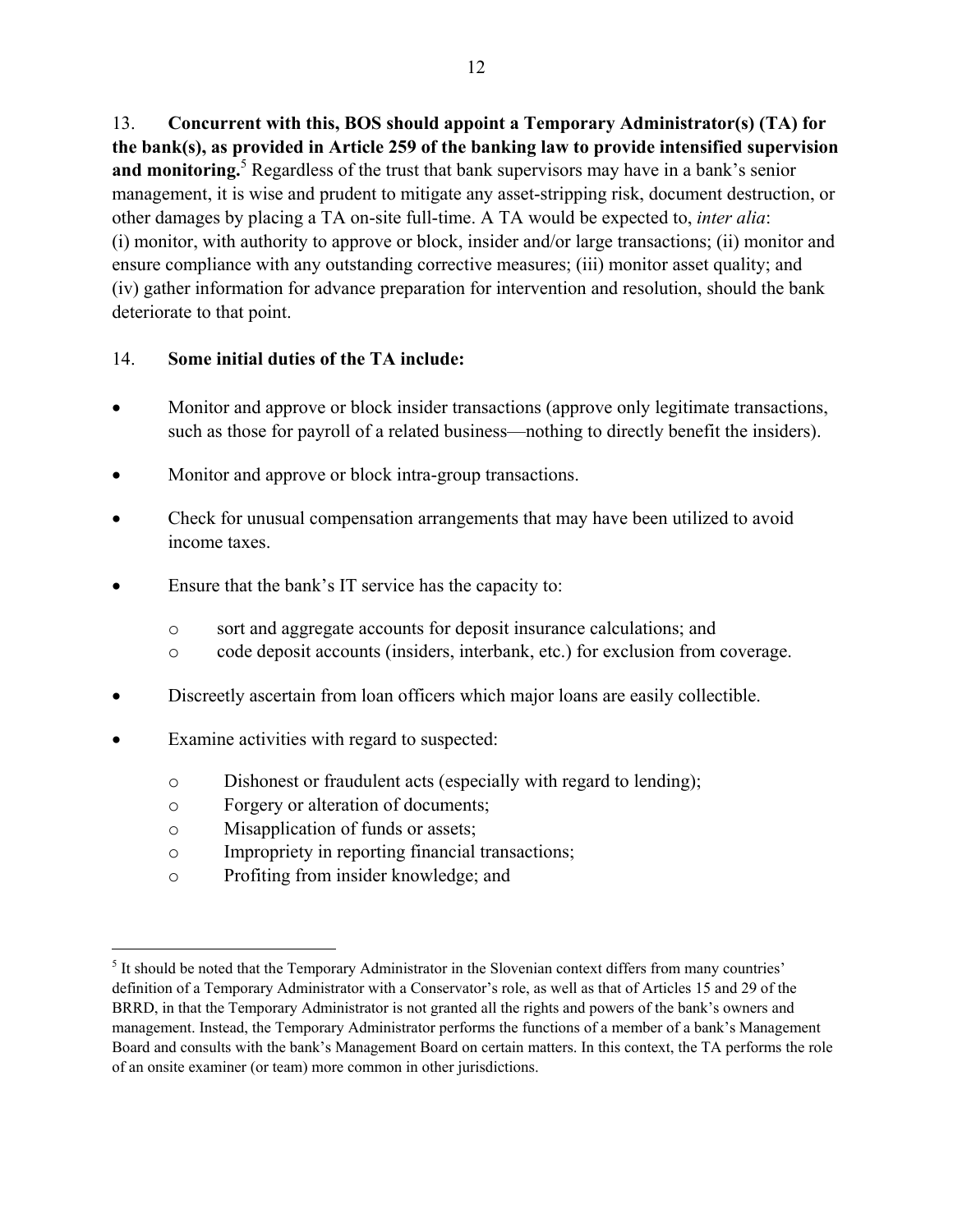13. **Concurrent with this, BOS should appoint a Temporary Administrator(s) (TA) for the bank(s), as provided in Article 259 of the banking law to provide intensified supervision**  and monitoring.<sup>5</sup> Regardless of the trust that bank supervisors may have in a bank's senior management, it is wise and prudent to mitigate any asset-stripping risk, document destruction, or other damages by placing a TA on-site full-time. A TA would be expected to, *inter alia*: (i) monitor, with authority to approve or block, insider and/or large transactions; (ii) monitor and ensure compliance with any outstanding corrective measures; (iii) monitor asset quality; and (iv) gather information for advance preparation for intervention and resolution, should the bank deteriorate to that point.

## 14. **Some initial duties of the TA include:**

- Monitor and approve or block insider transactions (approve only legitimate transactions, such as those for payroll of a related business—nothing to directly benefit the insiders).
- Monitor and approve or block intra-group transactions.
- Check for unusual compensation arrangements that may have been utilized to avoid income taxes.
- Ensure that the bank's IT service has the capacity to:
	- o sort and aggregate accounts for deposit insurance calculations; and
	- o code deposit accounts (insiders, interbank, etc.) for exclusion from coverage.
- Discreetly ascertain from loan officers which major loans are easily collectible.
- Examine activities with regard to suspected:
	- o Dishonest or fraudulent acts (especially with regard to lending);
	- o Forgery or alteration of documents;
	- o Misapplication of funds or assets;

 $\overline{a}$ 

- o Impropriety in reporting financial transactions;
- o Profiting from insider knowledge; and

 $<sup>5</sup>$  It should be noted that the Temporary Administrator in the Slovenian context differs from many countries'</sup> definition of a Temporary Administrator with a Conservator's role, as well as that of Articles 15 and 29 of the BRRD, in that the Temporary Administrator is not granted all the rights and powers of the bank's owners and management. Instead, the Temporary Administrator performs the functions of a member of a bank's Management Board and consults with the bank's Management Board on certain matters. In this context, the TA performs the role of an onsite examiner (or team) more common in other jurisdictions.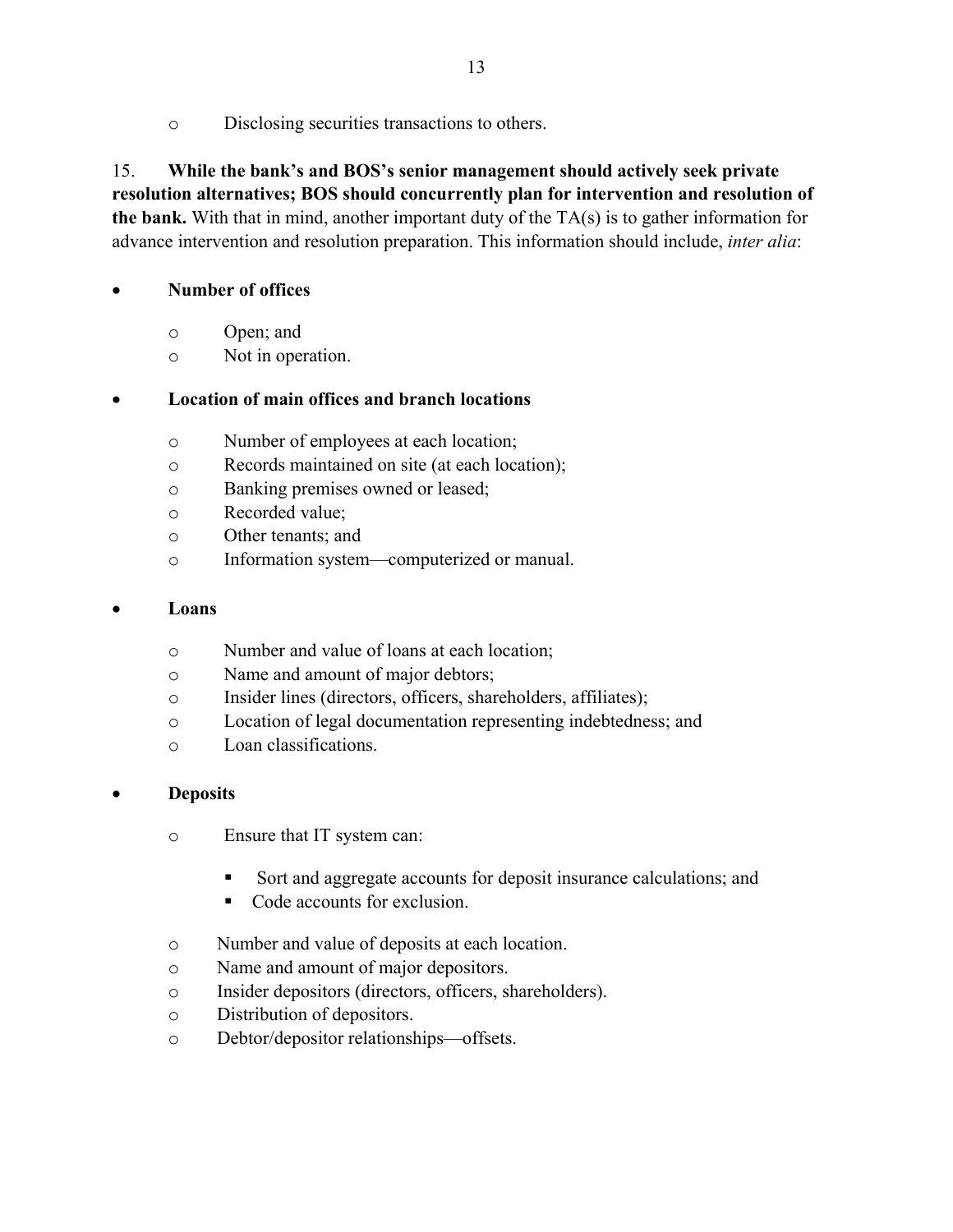o Disclosing securities transactions to others.

# 15. **While the bank's and BOS's senior management should actively seek private resolution alternatives; BOS should concurrently plan for intervention and resolution of the bank.** With that in mind, another important duty of the TA(s) is to gather information for advance intervention and resolution preparation. This information should include, *inter alia*:

## **Number of offices**

- o Open; and
- o Not in operation.

## **Location of main offices and branch locations**

- o Number of employees at each location;
- o Records maintained on site (at each location);
- o Banking premises owned or leased;
- o Recorded value;
- o Other tenants; and
- o Information system—computerized or manual.

### **Loans**

- o Number and value of loans at each location;
- o Name and amount of major debtors;
- o Insider lines (directors, officers, shareholders, affiliates);
- o Location of legal documentation representing indebtedness; and
- o Loan classifications.

## **Deposits**

- o Ensure that IT system can:
	- Sort and aggregate accounts for deposit insurance calculations; and
	- Code accounts for exclusion.
- o Number and value of deposits at each location.
- o Name and amount of major depositors.
- o Insider depositors (directors, officers, shareholders).
- o Distribution of depositors.
- o Debtor/depositor relationships—offsets.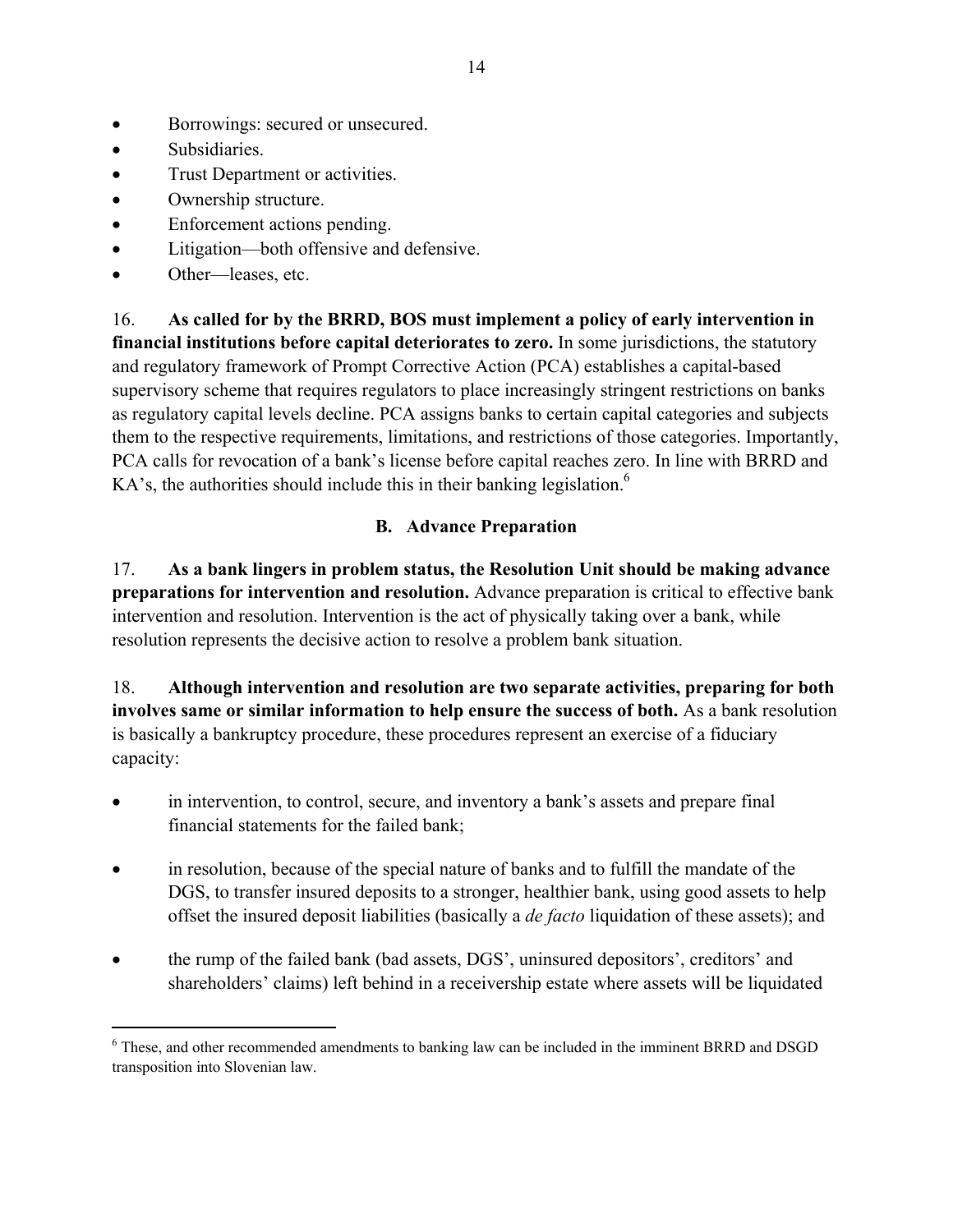- Borrowings: secured or unsecured.
- Subsidiaries.
- Trust Department or activities.
- Ownership structure.
- Enforcement actions pending.
- Litigation—both offensive and defensive.
- Other—leases, etc.

<u>.</u>

16. **As called for by the BRRD, BOS must implement a policy of early intervention in financial institutions before capital deteriorates to zero.** In some jurisdictions, the statutory and regulatory framework of Prompt Corrective Action (PCA) establishes a capital-based supervisory scheme that requires regulators to place increasingly stringent restrictions on banks as regulatory capital levels decline. PCA assigns banks to certain capital categories and subjects them to the respective requirements, limitations, and restrictions of those categories. Importantly, PCA calls for revocation of a bank's license before capital reaches zero. In line with BRRD and  $KA's$ , the authorities should include this in their banking legislation.<sup>6</sup>

# **B. Advance Preparation**

17. **As a bank lingers in problem status, the Resolution Unit should be making advance preparations for intervention and resolution.** Advance preparation is critical to effective bank intervention and resolution. Intervention is the act of physically taking over a bank, while resolution represents the decisive action to resolve a problem bank situation.

18. **Although intervention and resolution are two separate activities, preparing for both involves same or similar information to help ensure the success of both.** As a bank resolution is basically a bankruptcy procedure, these procedures represent an exercise of a fiduciary capacity:

- in intervention, to control, secure, and inventory a bank's assets and prepare final financial statements for the failed bank;
- in resolution, because of the special nature of banks and to fulfill the mandate of the DGS, to transfer insured deposits to a stronger, healthier bank, using good assets to help offset the insured deposit liabilities (basically a *de facto* liquidation of these assets); and
- the rump of the failed bank (bad assets, DGS', uninsured depositors', creditors' and shareholders' claims) left behind in a receivership estate where assets will be liquidated

<sup>&</sup>lt;sup>6</sup> These, and other recommended amendments to banking law can be included in the imminent BRRD and DSGD transposition into Slovenian law.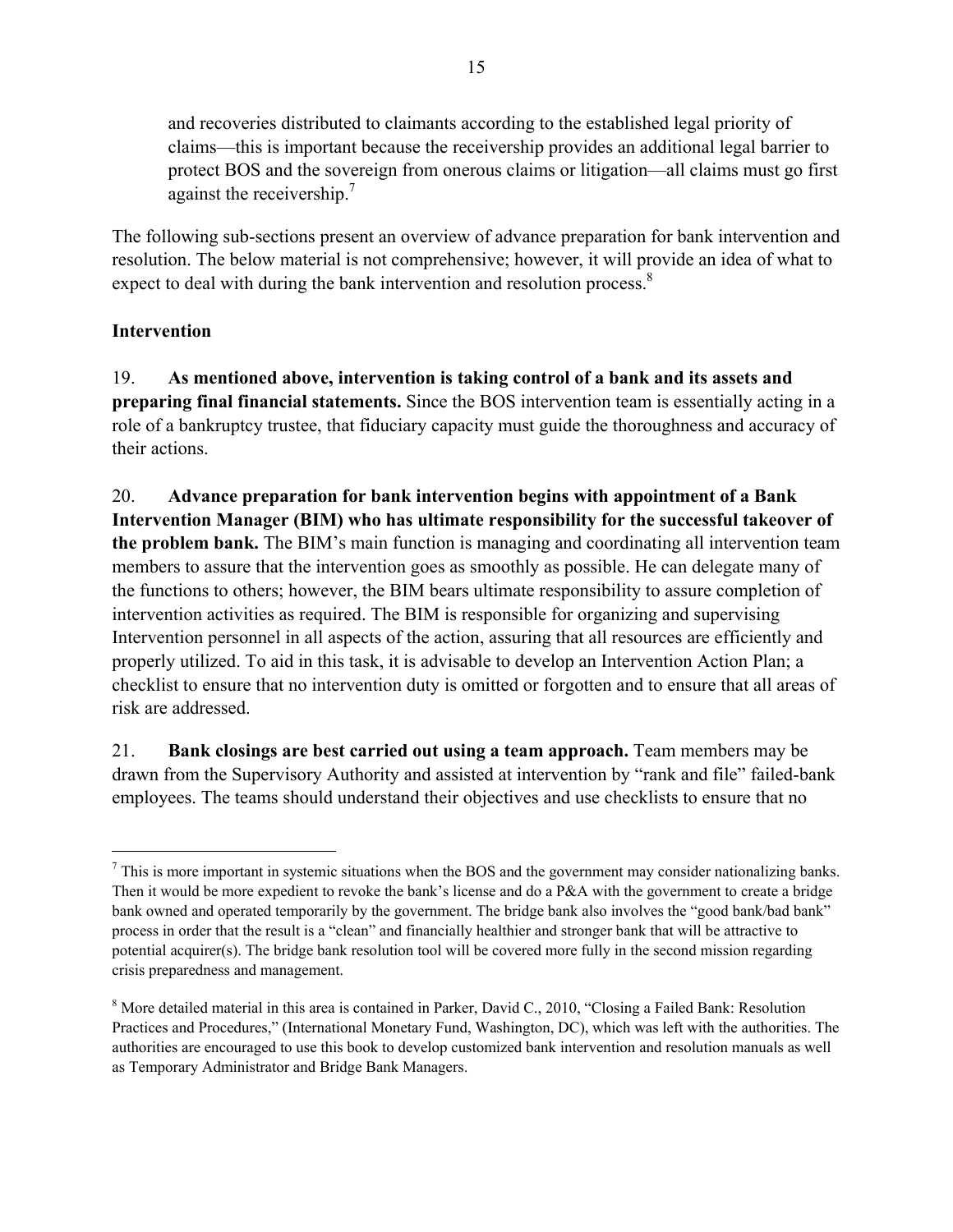and recoveries distributed to claimants according to the established legal priority of claims—this is important because the receivership provides an additional legal barrier to protect BOS and the sovereign from onerous claims or litigation—all claims must go first against the receivership.<sup>7</sup>

The following sub-sections present an overview of advance preparation for bank intervention and resolution. The below material is not comprehensive; however, it will provide an idea of what to expect to deal with during the bank intervention and resolution process.<sup>8</sup>

# **Intervention**

 $\overline{a}$ 

19. **As mentioned above, intervention is taking control of a bank and its assets and preparing final financial statements.** Since the BOS intervention team is essentially acting in a role of a bankruptcy trustee, that fiduciary capacity must guide the thoroughness and accuracy of their actions.

20. **Advance preparation for bank intervention begins with appointment of a Bank Intervention Manager (BIM) who has ultimate responsibility for the successful takeover of the problem bank.** The BIM's main function is managing and coordinating all intervention team members to assure that the intervention goes as smoothly as possible. He can delegate many of the functions to others; however, the BIM bears ultimate responsibility to assure completion of intervention activities as required. The BIM is responsible for organizing and supervising Intervention personnel in all aspects of the action, assuring that all resources are efficiently and properly utilized. To aid in this task, it is advisable to develop an Intervention Action Plan; a checklist to ensure that no intervention duty is omitted or forgotten and to ensure that all areas of risk are addressed.

21. **Bank closings are best carried out using a team approach.** Team members may be drawn from the Supervisory Authority and assisted at intervention by "rank and file" failed-bank employees. The teams should understand their objectives and use checklists to ensure that no

 $<sup>7</sup>$  This is more important in systemic situations when the BOS and the government may consider nationalizing banks.</sup> Then it would be more expedient to revoke the bank's license and do a P&A with the government to create a bridge bank owned and operated temporarily by the government. The bridge bank also involves the "good bank/bad bank" process in order that the result is a "clean" and financially healthier and stronger bank that will be attractive to potential acquirer(s). The bridge bank resolution tool will be covered more fully in the second mission regarding crisis preparedness and management.

<sup>&</sup>lt;sup>8</sup> More detailed material in this area is contained in Parker, David C., 2010, "Closing a Failed Bank: Resolution Practices and Procedures," (International Monetary Fund, Washington, DC), which was left with the authorities. The authorities are encouraged to use this book to develop customized bank intervention and resolution manuals as well as Temporary Administrator and Bridge Bank Managers.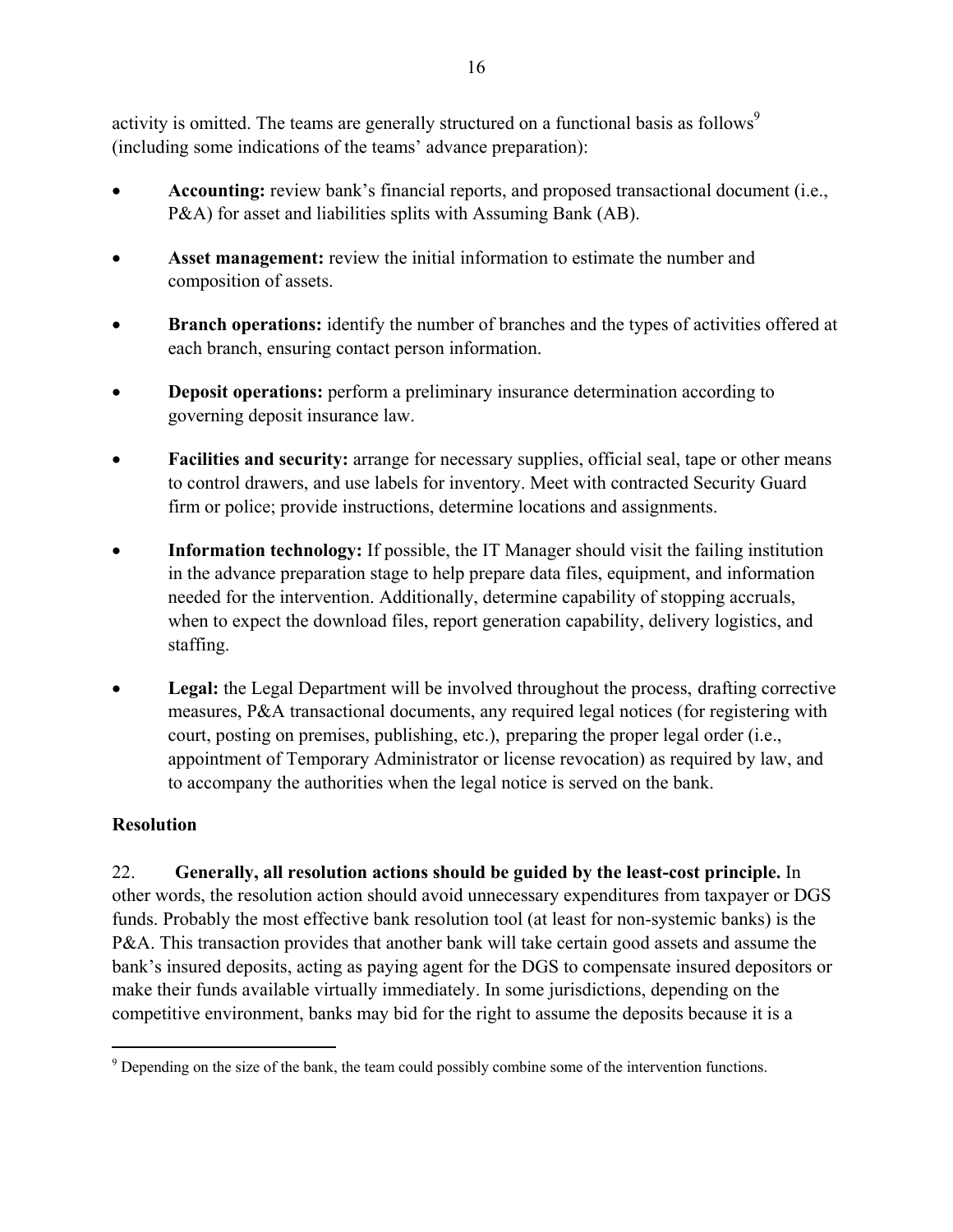activity is omitted. The teams are generally structured on a functional basis as follows<sup>9</sup> (including some indications of the teams' advance preparation):

- **Accounting:** review bank's financial reports, and proposed transactional document (i.e., P&A) for asset and liabilities splits with Assuming Bank (AB).
- **Asset management:** review the initial information to estimate the number and composition of assets.
- **Branch operations:** identify the number of branches and the types of activities offered at each branch, ensuring contact person information.
- **Deposit operations:** perform a preliminary insurance determination according to governing deposit insurance law.
- **Facilities and security:** arrange for necessary supplies, official seal, tape or other means to control drawers, and use labels for inventory. Meet with contracted Security Guard firm or police; provide instructions, determine locations and assignments.
- **Information technology:** If possible, the IT Manager should visit the failing institution in the advance preparation stage to help prepare data files, equipment, and information needed for the intervention. Additionally, determine capability of stopping accruals, when to expect the download files, report generation capability, delivery logistics, and staffing.
- Legal: the Legal Department will be involved throughout the process, drafting corrective measures, P&A transactional documents, any required legal notices (for registering with court, posting on premises, publishing, etc.), preparing the proper legal order (i.e., appointment of Temporary Administrator or license revocation) as required by law, and to accompany the authorities when the legal notice is served on the bank.

# **Resolution**

 $\overline{a}$ 

22. **Generally, all resolution actions should be guided by the least-cost principle.** In other words, the resolution action should avoid unnecessary expenditures from taxpayer or DGS funds. Probably the most effective bank resolution tool (at least for non-systemic banks) is the P&A. This transaction provides that another bank will take certain good assets and assume the bank's insured deposits, acting as paying agent for the DGS to compensate insured depositors or make their funds available virtually immediately. In some jurisdictions, depending on the competitive environment, banks may bid for the right to assume the deposits because it is a

 $9^9$  Depending on the size of the bank, the team could possibly combine some of the intervention functions.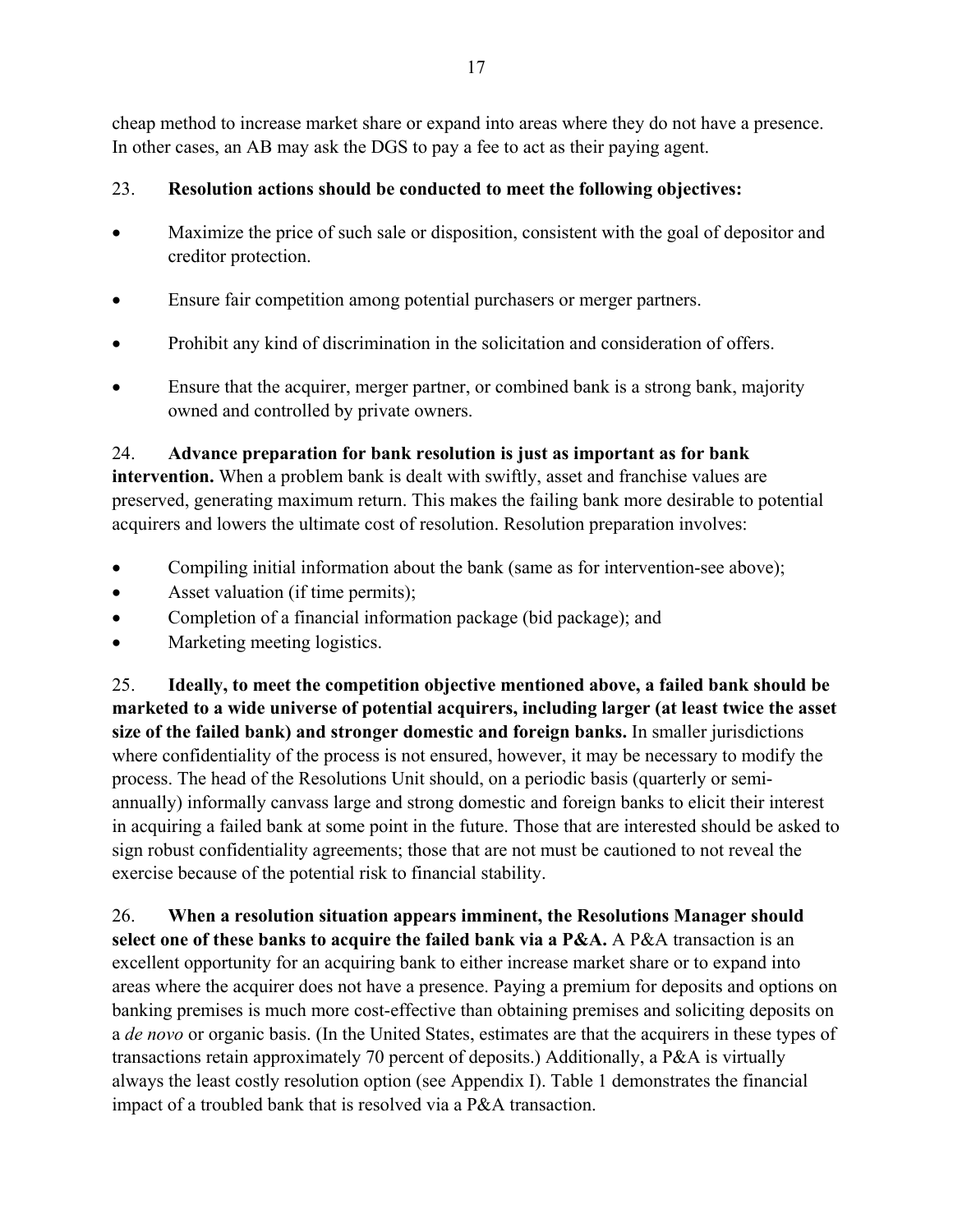cheap method to increase market share or expand into areas where they do not have a presence. In other cases, an AB may ask the DGS to pay a fee to act as their paying agent.

# 23. **Resolution actions should be conducted to meet the following objectives:**

- Maximize the price of such sale or disposition, consistent with the goal of depositor and creditor protection.
- Ensure fair competition among potential purchasers or merger partners.
- Prohibit any kind of discrimination in the solicitation and consideration of offers.
- Ensure that the acquirer, merger partner, or combined bank is a strong bank, majority owned and controlled by private owners.

# 24. **Advance preparation for bank resolution is just as important as for bank**

**intervention.** When a problem bank is dealt with swiftly, asset and franchise values are preserved, generating maximum return. This makes the failing bank more desirable to potential acquirers and lowers the ultimate cost of resolution. Resolution preparation involves:

- Compiling initial information about the bank (same as for intervention-see above);
- Asset valuation (if time permits);
- Completion of a financial information package (bid package); and
- Marketing meeting logistics.

25. **Ideally, to meet the competition objective mentioned above, a failed bank should be marketed to a wide universe of potential acquirers, including larger (at least twice the asset size of the failed bank) and stronger domestic and foreign banks.** In smaller jurisdictions where confidentiality of the process is not ensured, however, it may be necessary to modify the process. The head of the Resolutions Unit should, on a periodic basis (quarterly or semiannually) informally canvass large and strong domestic and foreign banks to elicit their interest in acquiring a failed bank at some point in the future. Those that are interested should be asked to sign robust confidentiality agreements; those that are not must be cautioned to not reveal the exercise because of the potential risk to financial stability.

26. **When a resolution situation appears imminent, the Resolutions Manager should select one of these banks to acquire the failed bank via a P&A.** A P&A transaction is an excellent opportunity for an acquiring bank to either increase market share or to expand into areas where the acquirer does not have a presence. Paying a premium for deposits and options on banking premises is much more cost-effective than obtaining premises and soliciting deposits on a *de novo* or organic basis. (In the United States, estimates are that the acquirers in these types of transactions retain approximately 70 percent of deposits.) Additionally, a P&A is virtually always the least costly resolution option (see Appendix I). Table 1 demonstrates the financial impact of a troubled bank that is resolved via a P&A transaction.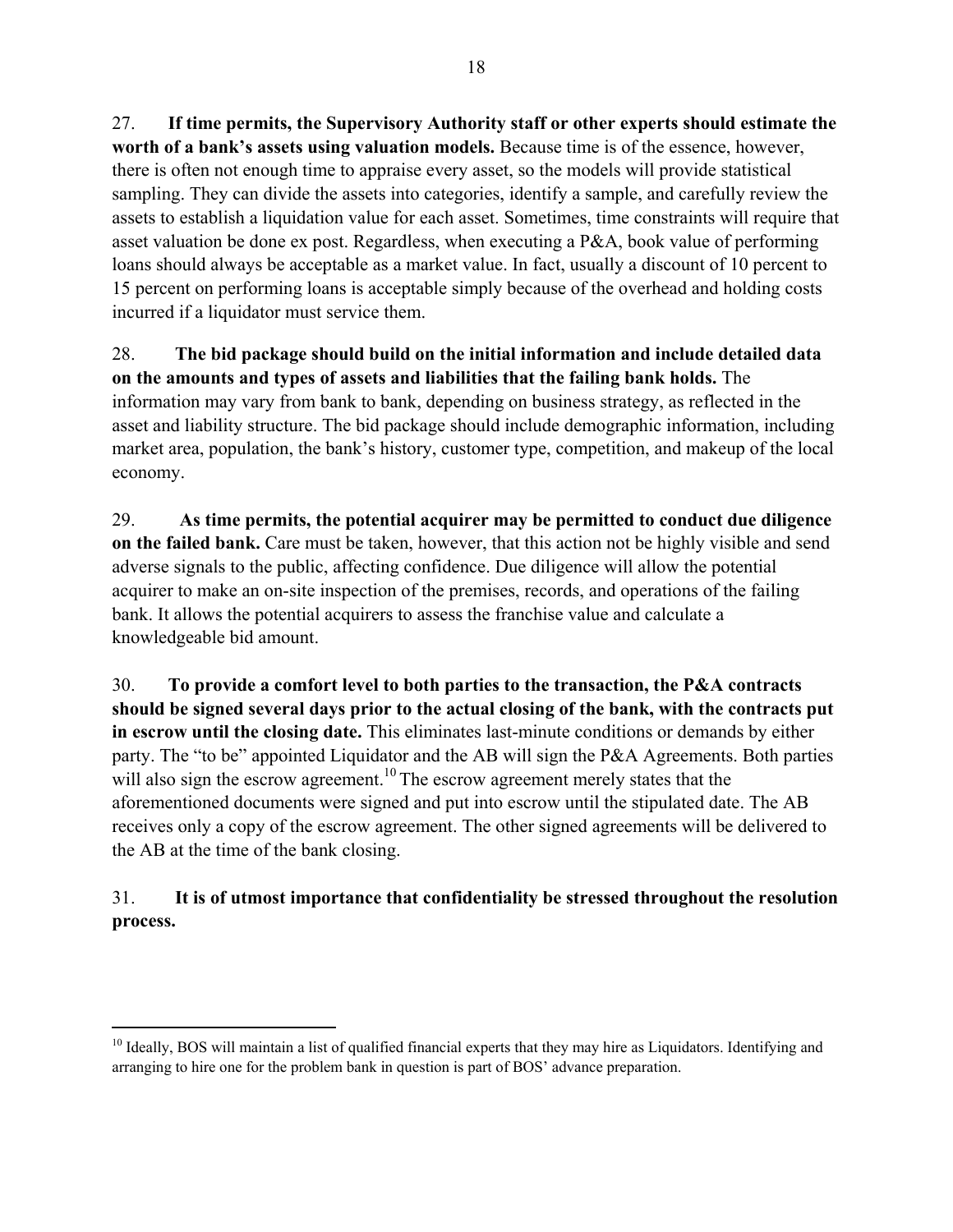27. **If time permits, the Supervisory Authority staff or other experts should estimate the worth of a bank's assets using valuation models.** Because time is of the essence, however, there is often not enough time to appraise every asset, so the models will provide statistical sampling. They can divide the assets into categories, identify a sample, and carefully review the assets to establish a liquidation value for each asset. Sometimes, time constraints will require that asset valuation be done ex post. Regardless, when executing a P&A, book value of performing loans should always be acceptable as a market value. In fact, usually a discount of 10 percent to 15 percent on performing loans is acceptable simply because of the overhead and holding costs incurred if a liquidator must service them.

28. **The bid package should build on the initial information and include detailed data on the amounts and types of assets and liabilities that the failing bank holds.** The information may vary from bank to bank, depending on business strategy, as reflected in the asset and liability structure. The bid package should include demographic information, including market area, population, the bank's history, customer type, competition, and makeup of the local economy.

29. **As time permits, the potential acquirer may be permitted to conduct due diligence on the failed bank.** Care must be taken, however, that this action not be highly visible and send adverse signals to the public, affecting confidence. Due diligence will allow the potential acquirer to make an on-site inspection of the premises, records, and operations of the failing bank. It allows the potential acquirers to assess the franchise value and calculate a knowledgeable bid amount.

30. **To provide a comfort level to both parties to the transaction, the P&A contracts should be signed several days prior to the actual closing of the bank, with the contracts put in escrow until the closing date.** This eliminates last-minute conditions or demands by either party. The "to be" appointed Liquidator and the AB will sign the P&A Agreements. Both parties will also sign the escrow agreement.<sup>10</sup> The escrow agreement merely states that the aforementioned documents were signed and put into escrow until the stipulated date. The AB receives only a copy of the escrow agreement. The other signed agreements will be delivered to the AB at the time of the bank closing.

# 31. **It is of utmost importance that confidentiality be stressed throughout the resolution process.**

<u>.</u>

<sup>&</sup>lt;sup>10</sup> Ideally, BOS will maintain a list of qualified financial experts that they may hire as Liquidators. Identifying and arranging to hire one for the problem bank in question is part of BOS' advance preparation.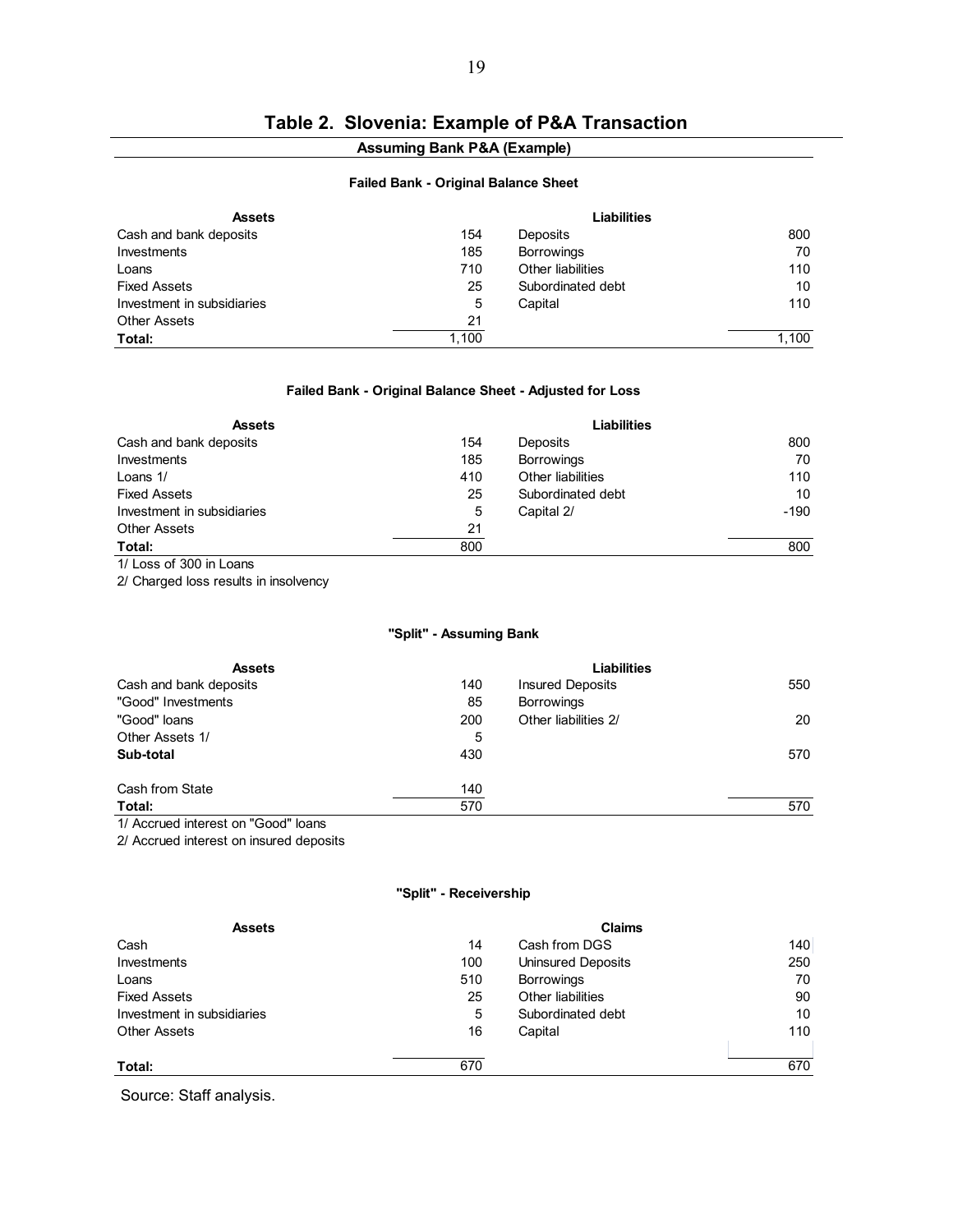# **Table 2. Slovenia: Example of P&A Transaction**

### **Assuming Bank P&A (Example)**

#### **Failed Bank - Original Balance Sheet**

| <b>Assets</b>              |       | Liabilities       |       |
|----------------------------|-------|-------------------|-------|
| Cash and bank deposits     | 154   | Deposits          | 800   |
| Investments                | 185   | <b>Borrowings</b> | 70    |
| Loans                      | 710   | Other liabilities | 110   |
| <b>Fixed Assets</b>        | 25    | Subordinated debt | 10    |
| Investment in subsidiaries | 5     | Capital           | 110   |
| <b>Other Assets</b>        | 21    |                   |       |
| Total:                     | 1,100 |                   | 1,100 |

#### **Failed Bank - Original Balance Sheet - Adjusted for Loss**

| <b>Assets</b>              |     | <b>Liabilities</b> |        |
|----------------------------|-----|--------------------|--------|
| Cash and bank deposits     | 154 | Deposits           | 800    |
| Investments                | 185 | <b>Borrowings</b>  | 70     |
| Loans 1/                   | 410 | Other liabilities  | 110    |
| <b>Fixed Assets</b>        | 25  | Subordinated debt  | 10     |
| Investment in subsidiaries | 5   | Capital 2/         | $-190$ |
| <b>Other Assets</b>        | 21  |                    |        |
| Total:                     | 800 |                    | 800    |

1/ Loss of 300 in Loans

2/ Charged loss results in insolvency

#### **"Split" - Assuming Bank**

| <b>Assets</b>                                                                                                                                                                                                                                                                                                                                       |     | <b>Liabilities</b>   |     |
|-----------------------------------------------------------------------------------------------------------------------------------------------------------------------------------------------------------------------------------------------------------------------------------------------------------------------------------------------------|-----|----------------------|-----|
| Cash and bank deposits                                                                                                                                                                                                                                                                                                                              | 140 | Insured Deposits     | 550 |
| "Good" Investments                                                                                                                                                                                                                                                                                                                                  | 85  | <b>Borrowings</b>    |     |
| "Good" loans                                                                                                                                                                                                                                                                                                                                        | 200 | Other liabilities 2/ | 20  |
| Other Assets 1/                                                                                                                                                                                                                                                                                                                                     | 5   |                      |     |
| Sub-total                                                                                                                                                                                                                                                                                                                                           | 430 |                      | 570 |
| Cash from State                                                                                                                                                                                                                                                                                                                                     | 140 |                      |     |
| Total:                                                                                                                                                                                                                                                                                                                                              | 570 |                      | 570 |
| $\overline{a}$ , $\overline{a}$ , $\overline{a}$ , $\overline{a}$ , $\overline{a}$ , $\overline{a}$ , $\overline{a}$ , $\overline{a}$ , $\overline{a}$ , $\overline{a}$ , $\overline{a}$ , $\overline{a}$ , $\overline{a}$ , $\overline{a}$ , $\overline{a}$ , $\overline{a}$ , $\overline{a}$ , $\overline{a}$ , $\overline{a}$ , $\overline{a}$ , |     |                      |     |

1/ Accrued interest on "Good" loans

2/ Accrued interest on insured deposits

#### **"Split" - Receivership**

| <b>Assets</b>              |     | <b>Claims</b>             |     |
|----------------------------|-----|---------------------------|-----|
| Cash                       | 14  | Cash from DGS             | 140 |
| Investments                | 100 | <b>Uninsured Deposits</b> | 250 |
| Loans                      | 510 | <b>Borrowings</b>         | 70  |
| <b>Fixed Assets</b>        | 25  | Other liabilities         | 90  |
| Investment in subsidiaries | 5   | Subordinated debt         | 10  |
| <b>Other Assets</b>        | 16  | Capital                   | 110 |
|                            |     |                           |     |
| Total:                     | 670 |                           | 670 |

Source: Staff analysis.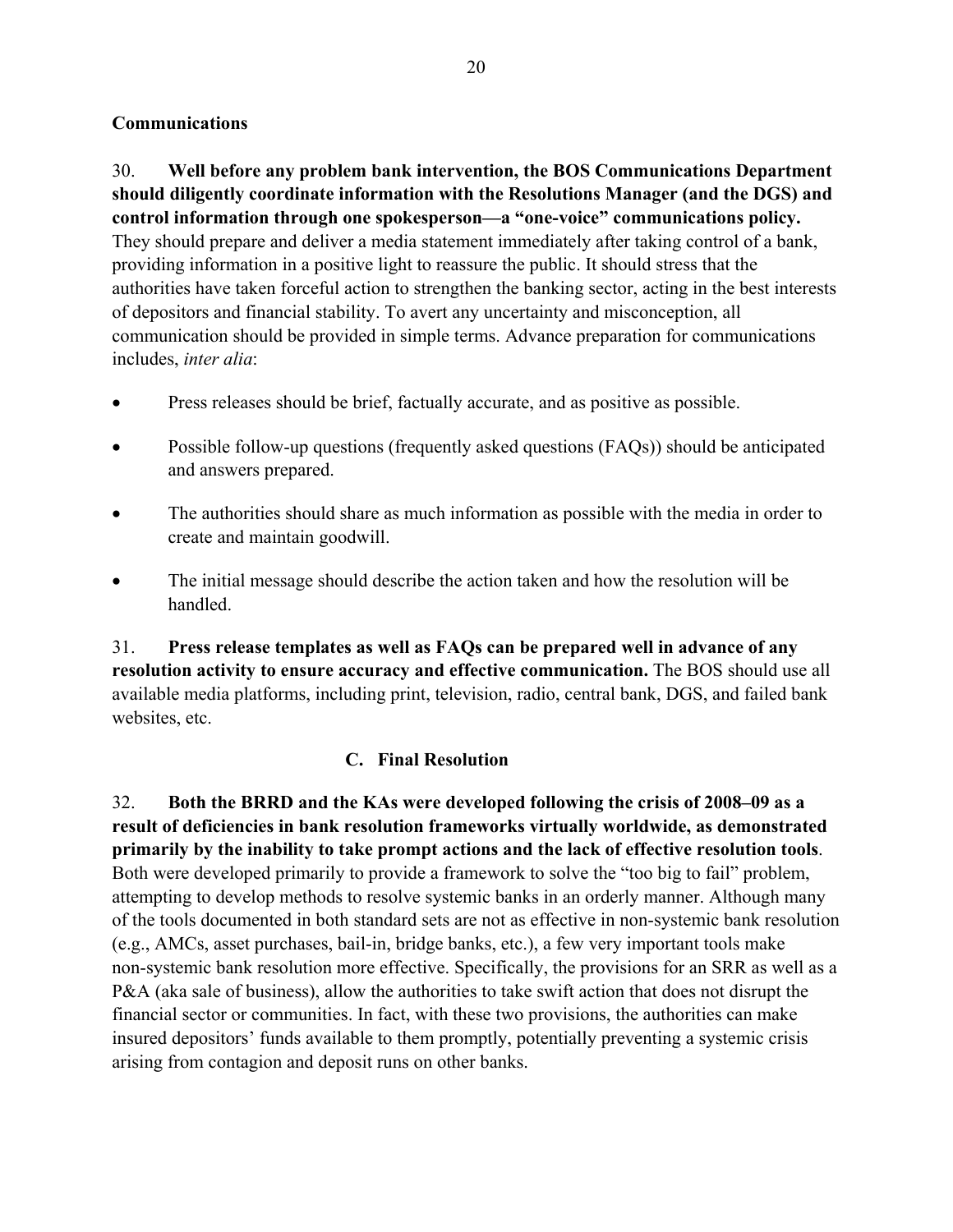## **Communications**

30. **Well before any problem bank intervention, the BOS Communications Department should diligently coordinate information with the Resolutions Manager (and the DGS) and control information through one spokesperson—a "one-voice" communications policy.** They should prepare and deliver a media statement immediately after taking control of a bank, providing information in a positive light to reassure the public. It should stress that the authorities have taken forceful action to strengthen the banking sector, acting in the best interests of depositors and financial stability. To avert any uncertainty and misconception, all communication should be provided in simple terms. Advance preparation for communications includes, *inter alia*:

- Press releases should be brief, factually accurate, and as positive as possible.
- Possible follow-up questions (frequently asked questions (FAQs)) should be anticipated and answers prepared.
- The authorities should share as much information as possible with the media in order to create and maintain goodwill.
- The initial message should describe the action taken and how the resolution will be handled.

31. **Press release templates as well as FAQs can be prepared well in advance of any resolution activity to ensure accuracy and effective communication.** The BOS should use all available media platforms, including print, television, radio, central bank, DGS, and failed bank websites, etc.

## **C. Final Resolution**

32. **Both the BRRD and the KAs were developed following the crisis of 2008–09 as a result of deficiencies in bank resolution frameworks virtually worldwide, as demonstrated primarily by the inability to take prompt actions and the lack of effective resolution tools**. Both were developed primarily to provide a framework to solve the "too big to fail" problem, attempting to develop methods to resolve systemic banks in an orderly manner. Although many of the tools documented in both standard sets are not as effective in non-systemic bank resolution (e.g., AMCs, asset purchases, bail-in, bridge banks, etc.), a few very important tools make non-systemic bank resolution more effective. Specifically, the provisions for an SRR as well as a P&A (aka sale of business), allow the authorities to take swift action that does not disrupt the financial sector or communities. In fact, with these two provisions, the authorities can make insured depositors' funds available to them promptly, potentially preventing a systemic crisis arising from contagion and deposit runs on other banks.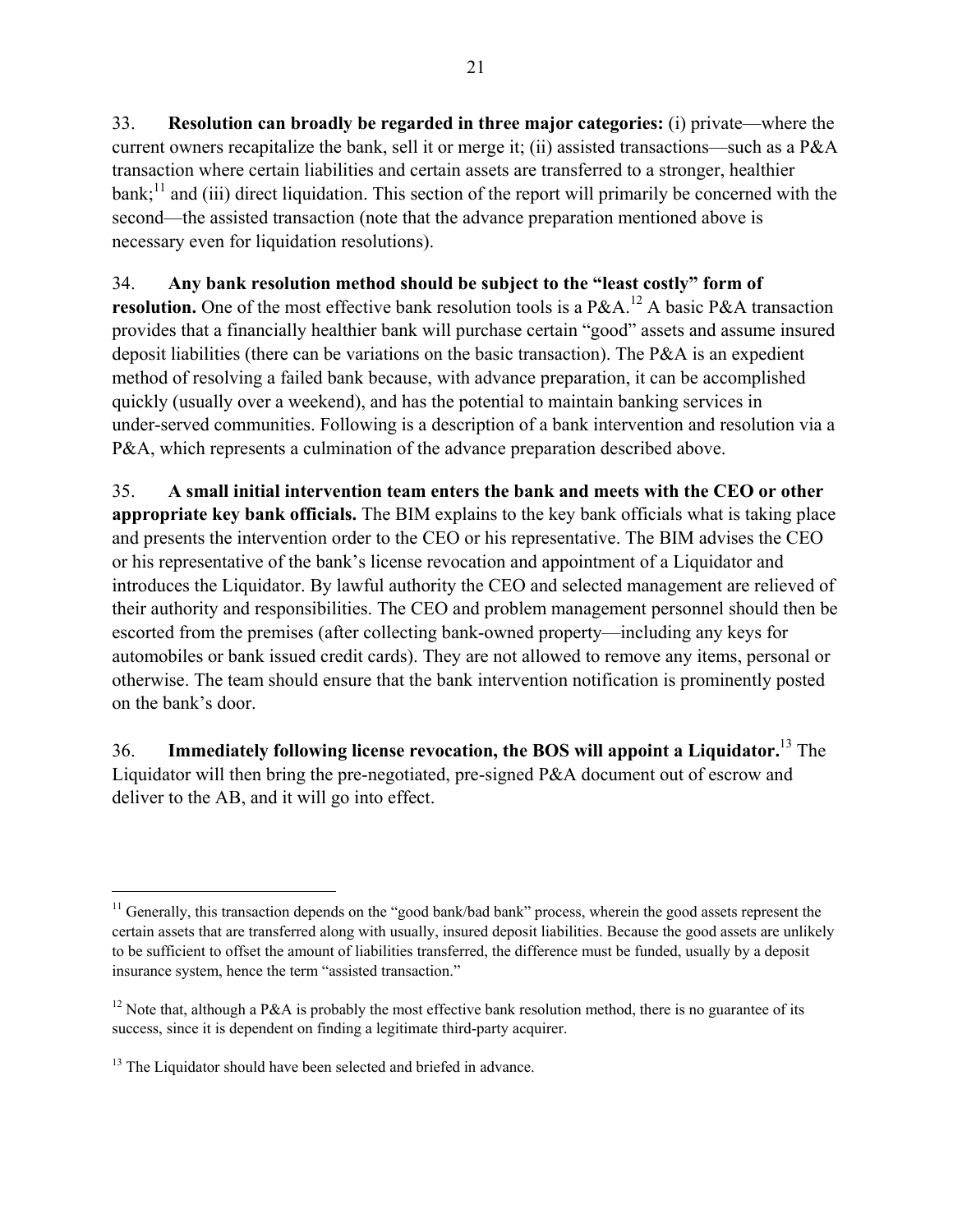33. **Resolution can broadly be regarded in three major categories:** (i) private—where the current owners recapitalize the bank, sell it or merge it; (ii) assisted transactions—such as a P&A transaction where certain liabilities and certain assets are transferred to a stronger, healthier  $bank$ ;<sup>11</sup> and (iii) direct liquidation. This section of the report will primarily be concerned with the second—the assisted transaction (note that the advance preparation mentioned above is necessary even for liquidation resolutions).

34. **Any bank resolution method should be subject to the "least costly" form of resolution.** One of the most effective bank resolution tools is a P&A.<sup>12</sup> A basic P&A transaction provides that a financially healthier bank will purchase certain "good" assets and assume insured deposit liabilities (there can be variations on the basic transaction). The P&A is an expedient method of resolving a failed bank because, with advance preparation, it can be accomplished quickly (usually over a weekend), and has the potential to maintain banking services in under-served communities. Following is a description of a bank intervention and resolution via a P&A, which represents a culmination of the advance preparation described above.

35. **A small initial intervention team enters the bank and meets with the CEO or other appropriate key bank officials.** The BIM explains to the key bank officials what is taking place and presents the intervention order to the CEO or his representative. The BIM advises the CEO or his representative of the bank's license revocation and appointment of a Liquidator and introduces the Liquidator. By lawful authority the CEO and selected management are relieved of their authority and responsibilities. The CEO and problem management personnel should then be escorted from the premises (after collecting bank-owned property—including any keys for automobiles or bank issued credit cards). They are not allowed to remove any items, personal or otherwise. The team should ensure that the bank intervention notification is prominently posted on the bank's door.

36. **Immediately following license revocation, the BOS will appoint a Liquidator.**13 The Liquidator will then bring the pre-negotiated, pre-signed P&A document out of escrow and deliver to the AB, and it will go into effect.

1

<sup>&</sup>lt;sup>11</sup> Generally, this transaction depends on the "good bank/bad bank" process, wherein the good assets represent the certain assets that are transferred along with usually, insured deposit liabilities. Because the good assets are unlikely to be sufficient to offset the amount of liabilities transferred, the difference must be funded, usually by a deposit insurance system, hence the term "assisted transaction."

<sup>&</sup>lt;sup>12</sup> Note that, although a P&A is probably the most effective bank resolution method, there is no guarantee of its success, since it is dependent on finding a legitimate third-party acquirer.

<sup>&</sup>lt;sup>13</sup> The Liquidator should have been selected and briefed in advance.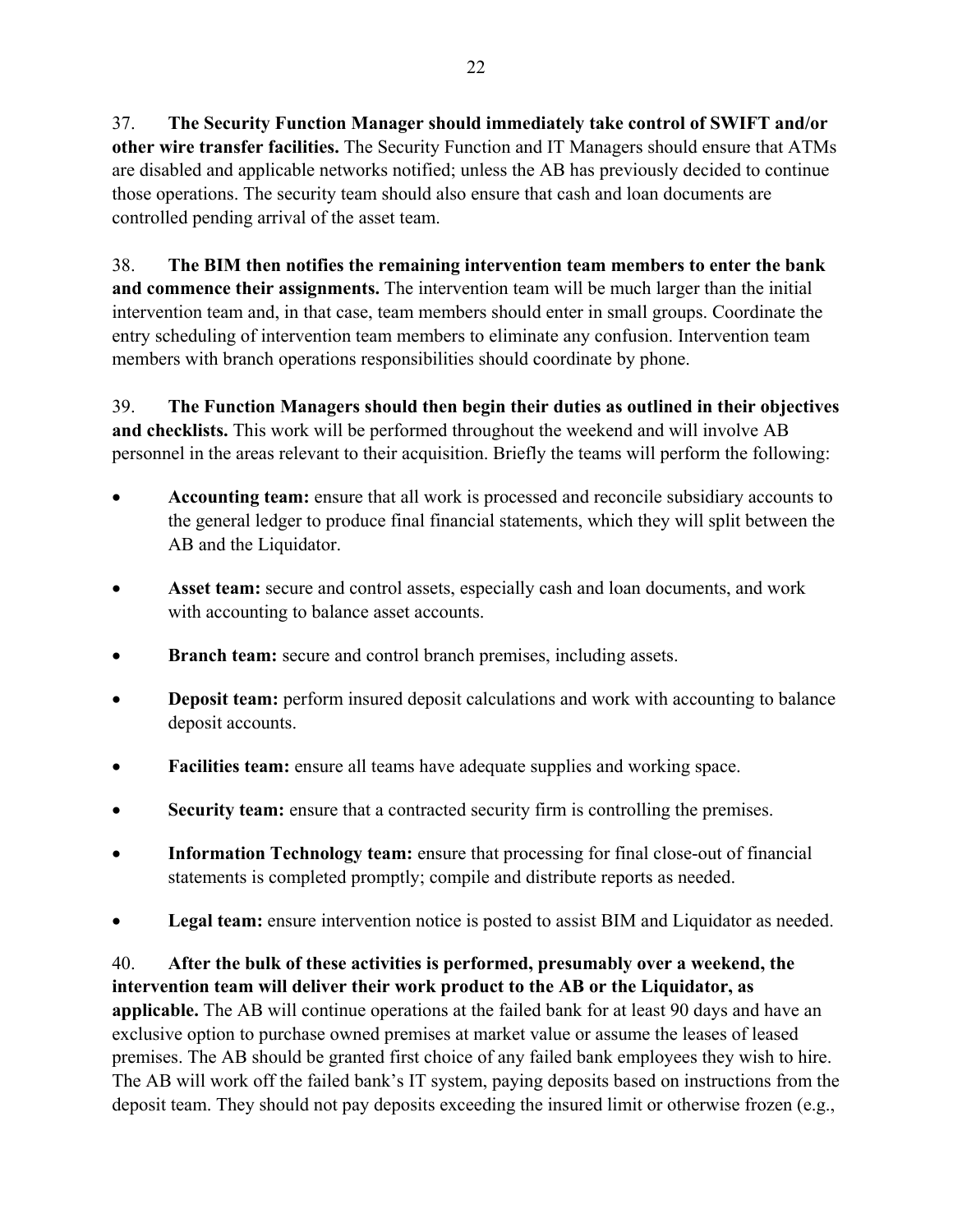37. **The Security Function Manager should immediately take control of SWIFT and/or other wire transfer facilities.** The Security Function and IT Managers should ensure that ATMs are disabled and applicable networks notified; unless the AB has previously decided to continue those operations. The security team should also ensure that cash and loan documents are controlled pending arrival of the asset team.

38. **The BIM then notifies the remaining intervention team members to enter the bank and commence their assignments.** The intervention team will be much larger than the initial intervention team and, in that case, team members should enter in small groups. Coordinate the entry scheduling of intervention team members to eliminate any confusion. Intervention team members with branch operations responsibilities should coordinate by phone.

39. **The Function Managers should then begin their duties as outlined in their objectives and checklists.** This work will be performed throughout the weekend and will involve AB personnel in the areas relevant to their acquisition. Briefly the teams will perform the following:

- **Accounting team:** ensure that all work is processed and reconcile subsidiary accounts to the general ledger to produce final financial statements, which they will split between the AB and the Liquidator.
- **Asset team:** secure and control assets, especially cash and loan documents, and work with accounting to balance asset accounts.
- **Branch team:** secure and control branch premises, including assets.
- **Deposit team:** perform insured deposit calculations and work with accounting to balance deposit accounts.
- **Facilities team:** ensure all teams have adequate supplies and working space.
- **Security team:** ensure that a contracted security firm is controlling the premises.
- **Information Technology team:** ensure that processing for final close-out of financial statements is completed promptly; compile and distribute reports as needed.
- **Legal team:** ensure intervention notice is posted to assist BIM and Liquidator as needed.

40. **After the bulk of these activities is performed, presumably over a weekend, the intervention team will deliver their work product to the AB or the Liquidator, as applicable.** The AB will continue operations at the failed bank for at least 90 days and have an exclusive option to purchase owned premises at market value or assume the leases of leased premises. The AB should be granted first choice of any failed bank employees they wish to hire. The AB will work off the failed bank's IT system, paying deposits based on instructions from the deposit team. They should not pay deposits exceeding the insured limit or otherwise frozen (e.g.,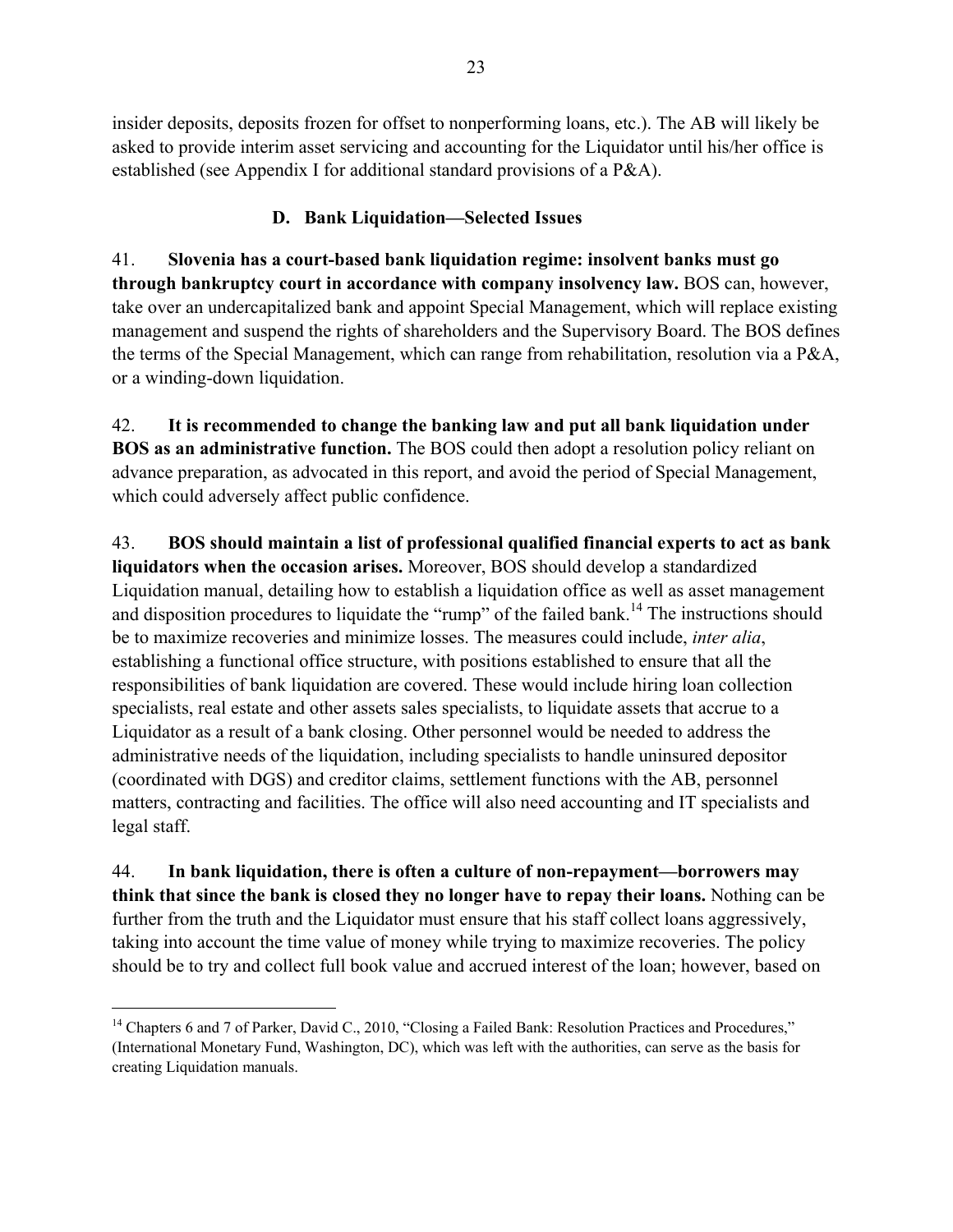insider deposits, deposits frozen for offset to nonperforming loans, etc.). The AB will likely be asked to provide interim asset servicing and accounting for the Liquidator until his/her office is established (see Appendix I for additional standard provisions of a P&A).

# **D. Bank Liquidation—Selected Issues**

41. **Slovenia has a court-based bank liquidation regime: insolvent banks must go through bankruptcy court in accordance with company insolvency law.** BOS can, however, take over an undercapitalized bank and appoint Special Management, which will replace existing management and suspend the rights of shareholders and the Supervisory Board. The BOS defines the terms of the Special Management, which can range from rehabilitation, resolution via a P&A, or a winding-down liquidation.

42. **It is recommended to change the banking law and put all bank liquidation under BOS as an administrative function.** The BOS could then adopt a resolution policy reliant on advance preparation, as advocated in this report, and avoid the period of Special Management, which could adversely affect public confidence.

43. **BOS should maintain a list of professional qualified financial experts to act as bank liquidators when the occasion arises.** Moreover, BOS should develop a standardized Liquidation manual, detailing how to establish a liquidation office as well as asset management and disposition procedures to liquidate the "rump" of the failed bank.<sup>14</sup> The instructions should be to maximize recoveries and minimize losses. The measures could include, *inter alia*, establishing a functional office structure, with positions established to ensure that all the responsibilities of bank liquidation are covered. These would include hiring loan collection specialists, real estate and other assets sales specialists, to liquidate assets that accrue to a Liquidator as a result of a bank closing. Other personnel would be needed to address the administrative needs of the liquidation, including specialists to handle uninsured depositor (coordinated with DGS) and creditor claims, settlement functions with the AB, personnel matters, contracting and facilities. The office will also need accounting and IT specialists and legal staff.

44. **In bank liquidation, there is often a culture of non-repayment—borrowers may think that since the bank is closed they no longer have to repay their loans.** Nothing can be further from the truth and the Liquidator must ensure that his staff collect loans aggressively, taking into account the time value of money while trying to maximize recoveries. The policy should be to try and collect full book value and accrued interest of the loan; however, based on

1

<sup>&</sup>lt;sup>14</sup> Chapters 6 and 7 of Parker, David C., 2010, "Closing a Failed Bank: Resolution Practices and Procedures," (International Monetary Fund, Washington, DC), which was left with the authorities, can serve as the basis for creating Liquidation manuals.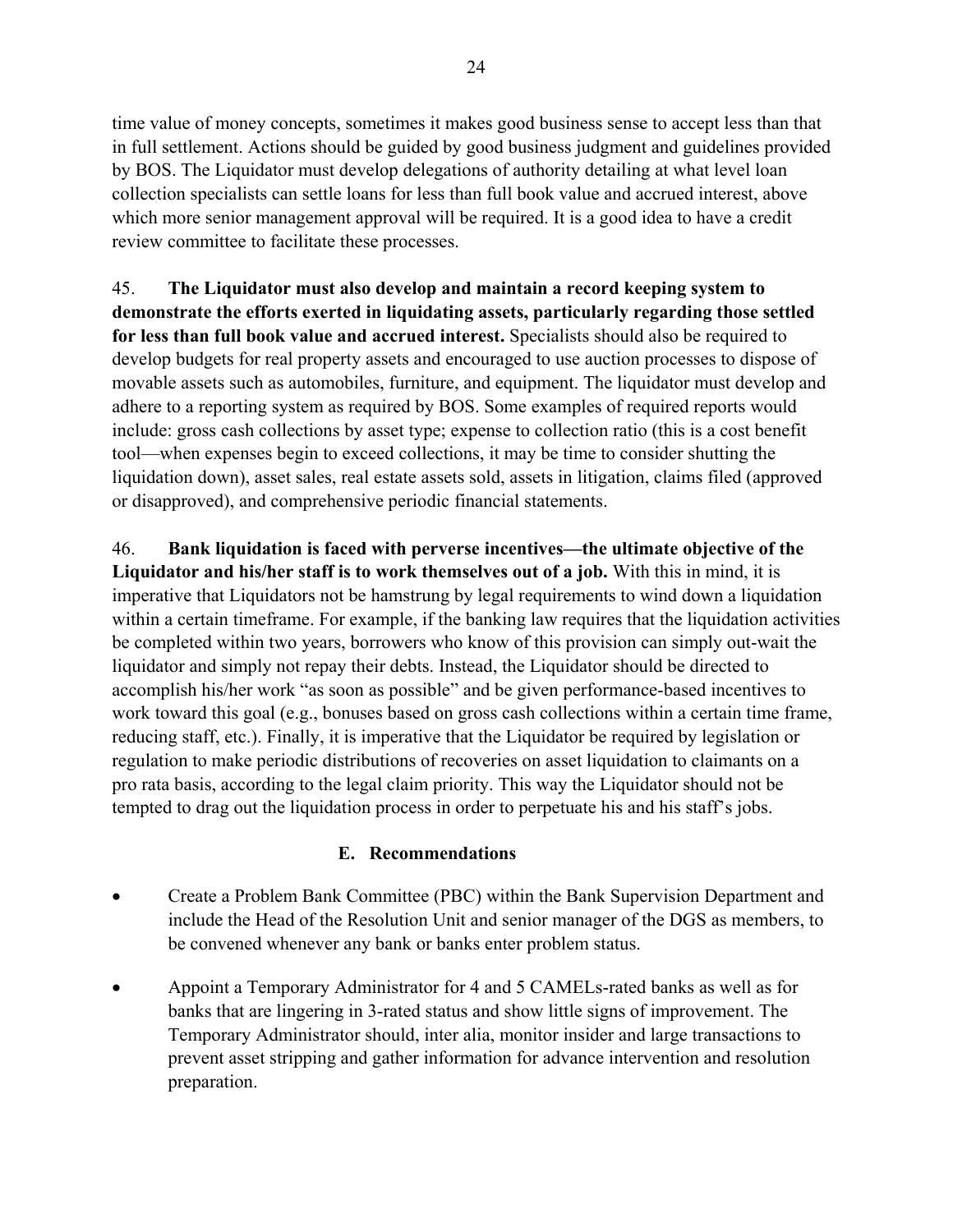time value of money concepts, sometimes it makes good business sense to accept less than that in full settlement. Actions should be guided by good business judgment and guidelines provided by BOS. The Liquidator must develop delegations of authority detailing at what level loan collection specialists can settle loans for less than full book value and accrued interest, above which more senior management approval will be required. It is a good idea to have a credit review committee to facilitate these processes.

45. **The Liquidator must also develop and maintain a record keeping system to demonstrate the efforts exerted in liquidating assets, particularly regarding those settled for less than full book value and accrued interest.** Specialists should also be required to develop budgets for real property assets and encouraged to use auction processes to dispose of movable assets such as automobiles, furniture, and equipment. The liquidator must develop and adhere to a reporting system as required by BOS. Some examples of required reports would include: gross cash collections by asset type; expense to collection ratio (this is a cost benefit tool—when expenses begin to exceed collections, it may be time to consider shutting the liquidation down), asset sales, real estate assets sold, assets in litigation, claims filed (approved or disapproved), and comprehensive periodic financial statements.

46. **Bank liquidation is faced with perverse incentives—the ultimate objective of the Liquidator and his/her staff is to work themselves out of a job.** With this in mind, it is imperative that Liquidators not be hamstrung by legal requirements to wind down a liquidation within a certain timeframe. For example, if the banking law requires that the liquidation activities be completed within two years, borrowers who know of this provision can simply out-wait the liquidator and simply not repay their debts. Instead, the Liquidator should be directed to accomplish his/her work "as soon as possible" and be given performance-based incentives to work toward this goal (e.g., bonuses based on gross cash collections within a certain time frame, reducing staff, etc.). Finally, it is imperative that the Liquidator be required by legislation or regulation to make periodic distributions of recoveries on asset liquidation to claimants on a pro rata basis, according to the legal claim priority. This way the Liquidator should not be tempted to drag out the liquidation process in order to perpetuate his and his staff's jobs.

## **E. Recommendations**

- Create a Problem Bank Committee (PBC) within the Bank Supervision Department and include the Head of the Resolution Unit and senior manager of the DGS as members, to be convened whenever any bank or banks enter problem status.
- Appoint a Temporary Administrator for 4 and 5 CAMELs-rated banks as well as for banks that are lingering in 3-rated status and show little signs of improvement. The Temporary Administrator should, inter alia, monitor insider and large transactions to prevent asset stripping and gather information for advance intervention and resolution preparation.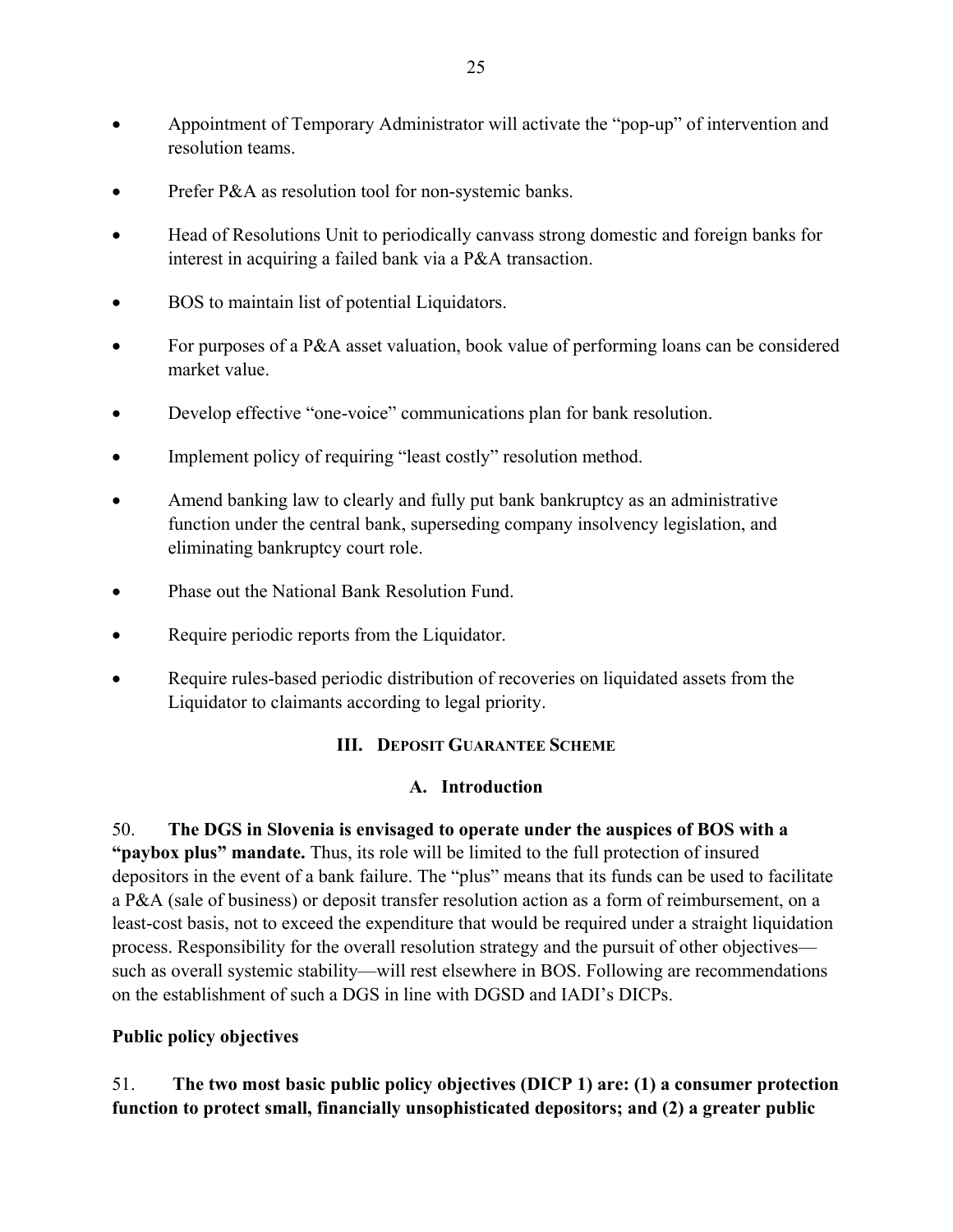- Appointment of Temporary Administrator will activate the "pop-up" of intervention and resolution teams.
- Prefer P&A as resolution tool for non-systemic banks.
- Head of Resolutions Unit to periodically canvass strong domestic and foreign banks for interest in acquiring a failed bank via a P&A transaction.
- BOS to maintain list of potential Liquidators.
- For purposes of a P&A asset valuation, book value of performing loans can be considered market value.
- Develop effective "one-voice" communications plan for bank resolution.
- Implement policy of requiring "least costly" resolution method.
- Amend banking law to clearly and fully put bank bankruptcy as an administrative function under the central bank, superseding company insolvency legislation, and eliminating bankruptcy court role.
- Phase out the National Bank Resolution Fund.
- Require periodic reports from the Liquidator.
- Require rules-based periodic distribution of recoveries on liquidated assets from the Liquidator to claimants according to legal priority.

## **III. DEPOSIT GUARANTEE SCHEME**

## **A. Introduction**

50. **The DGS in Slovenia is envisaged to operate under the auspices of BOS with a "paybox plus" mandate.** Thus, its role will be limited to the full protection of insured depositors in the event of a bank failure. The "plus" means that its funds can be used to facilitate a P&A (sale of business) or deposit transfer resolution action as a form of reimbursement, on a least-cost basis, not to exceed the expenditure that would be required under a straight liquidation process. Responsibility for the overall resolution strategy and the pursuit of other objectives such as overall systemic stability—will rest elsewhere in BOS. Following are recommendations on the establishment of such a DGS in line with DGSD and IADI's DICPs.

## **Public policy objectives**

51. **The two most basic public policy objectives (DICP 1) are: (1) a consumer protection function to protect small, financially unsophisticated depositors; and (2) a greater public**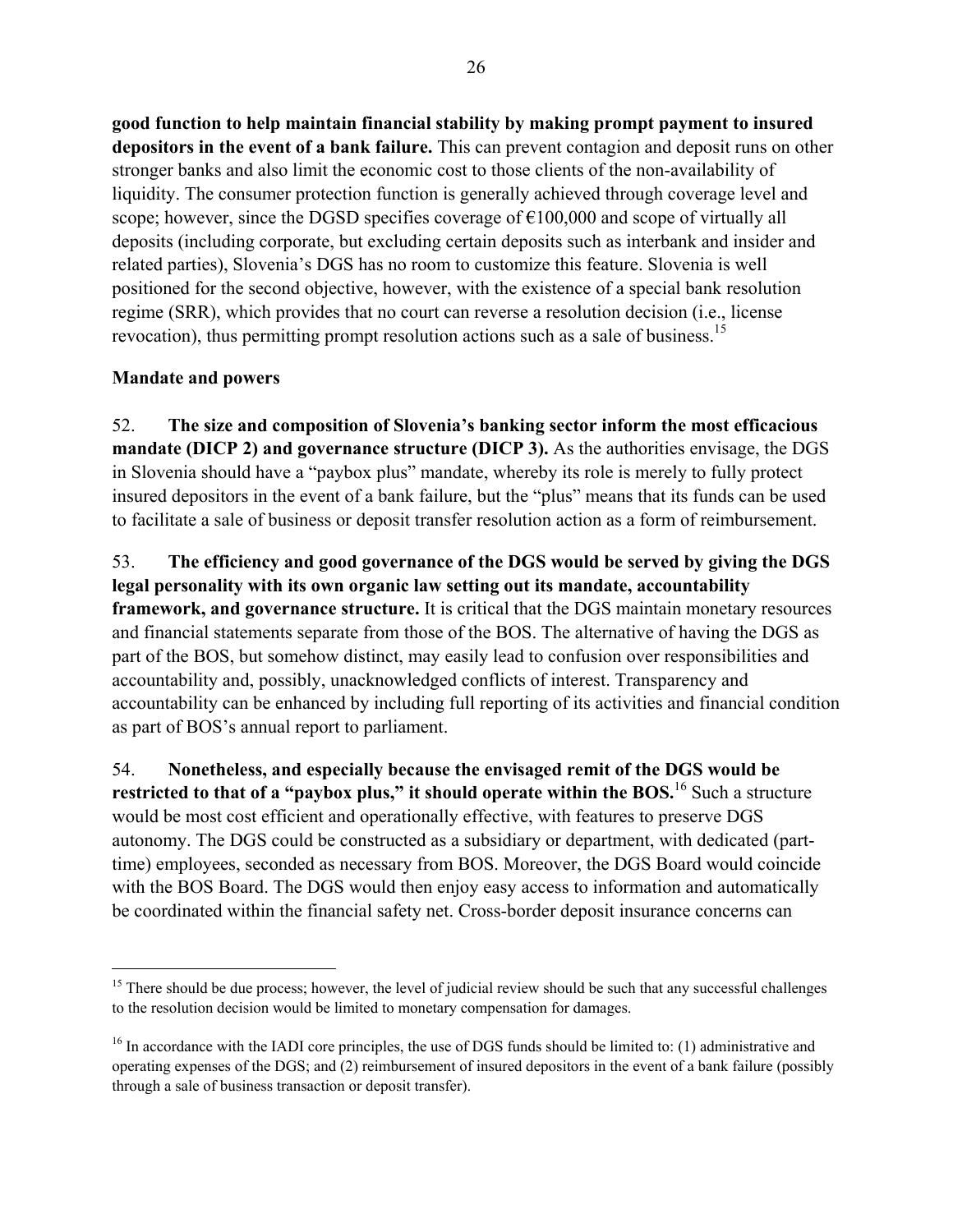**good function to help maintain financial stability by making prompt payment to insured depositors in the event of a bank failure.** This can prevent contagion and deposit runs on other stronger banks and also limit the economic cost to those clients of the non-availability of liquidity. The consumer protection function is generally achieved through coverage level and scope; however, since the DGSD specifies coverage of  $\epsilon$ 100,000 and scope of virtually all deposits (including corporate, but excluding certain deposits such as interbank and insider and related parties), Slovenia's DGS has no room to customize this feature. Slovenia is well positioned for the second objective, however, with the existence of a special bank resolution regime (SRR), which provides that no court can reverse a resolution decision (i.e., license revocation), thus permitting prompt resolution actions such as a sale of business.<sup>15</sup>

### **Mandate and powers**

<u>.</u>

52. **The size and composition of Slovenia's banking sector inform the most efficacious mandate (DICP 2) and governance structure (DICP 3).** As the authorities envisage, the DGS in Slovenia should have a "paybox plus" mandate, whereby its role is merely to fully protect insured depositors in the event of a bank failure, but the "plus" means that its funds can be used to facilitate a sale of business or deposit transfer resolution action as a form of reimbursement.

53. **The efficiency and good governance of the DGS would be served by giving the DGS legal personality with its own organic law setting out its mandate, accountability framework, and governance structure.** It is critical that the DGS maintain monetary resources and financial statements separate from those of the BOS. The alternative of having the DGS as part of the BOS, but somehow distinct, may easily lead to confusion over responsibilities and accountability and, possibly, unacknowledged conflicts of interest. Transparency and accountability can be enhanced by including full reporting of its activities and financial condition as part of BOS's annual report to parliament.

54. **Nonetheless, and especially because the envisaged remit of the DGS would be restricted to that of a "paybox plus," it should operate within the BOS.**<sup>16</sup> Such a structure would be most cost efficient and operationally effective, with features to preserve DGS autonomy. The DGS could be constructed as a subsidiary or department, with dedicated (parttime) employees, seconded as necessary from BOS. Moreover, the DGS Board would coincide with the BOS Board. The DGS would then enjoy easy access to information and automatically be coordinated within the financial safety net. Cross-border deposit insurance concerns can

<sup>&</sup>lt;sup>15</sup> There should be due process; however, the level of judicial review should be such that any successful challenges to the resolution decision would be limited to monetary compensation for damages.

 $16$  In accordance with the IADI core principles, the use of DGS funds should be limited to: (1) administrative and operating expenses of the DGS; and (2) reimbursement of insured depositors in the event of a bank failure (possibly through a sale of business transaction or deposit transfer).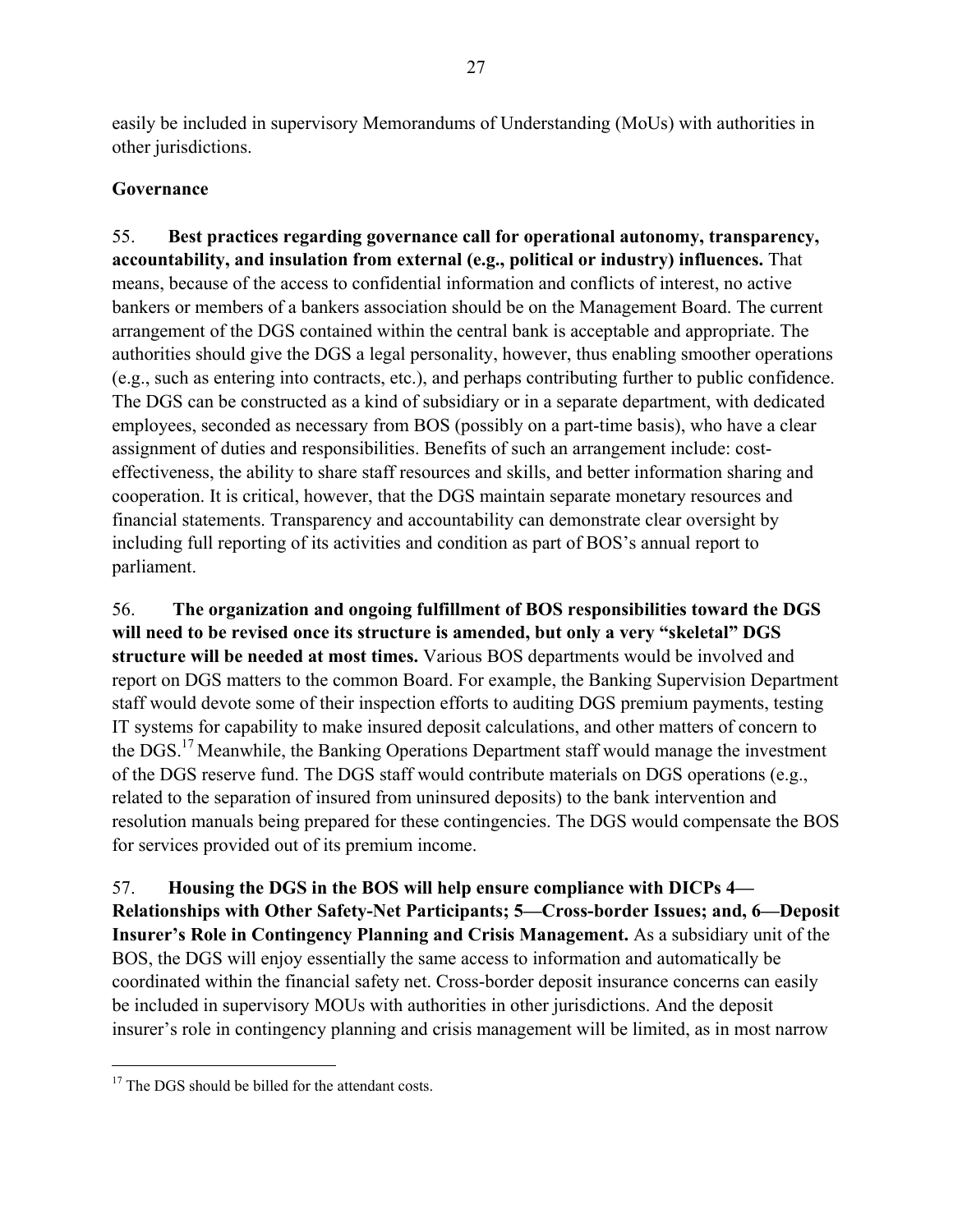easily be included in supervisory Memorandums of Understanding (MoUs) with authorities in other jurisdictions.

# **Governance**

55. **Best practices regarding governance call for operational autonomy, transparency, accountability, and insulation from external (e.g., political or industry) influences.** That means, because of the access to confidential information and conflicts of interest, no active bankers or members of a bankers association should be on the Management Board. The current arrangement of the DGS contained within the central bank is acceptable and appropriate. The authorities should give the DGS a legal personality, however, thus enabling smoother operations (e.g., such as entering into contracts, etc.), and perhaps contributing further to public confidence. The DGS can be constructed as a kind of subsidiary or in a separate department, with dedicated employees, seconded as necessary from BOS (possibly on a part-time basis), who have a clear assignment of duties and responsibilities. Benefits of such an arrangement include: costeffectiveness, the ability to share staff resources and skills, and better information sharing and cooperation. It is critical, however, that the DGS maintain separate monetary resources and financial statements. Transparency and accountability can demonstrate clear oversight by including full reporting of its activities and condition as part of BOS's annual report to parliament.

56. **The organization and ongoing fulfillment of BOS responsibilities toward the DGS will need to be revised once its structure is amended, but only a very "skeletal" DGS structure will be needed at most times.** Various BOS departments would be involved and report on DGS matters to the common Board. For example, the Banking Supervision Department staff would devote some of their inspection efforts to auditing DGS premium payments, testing IT systems for capability to make insured deposit calculations, and other matters of concern to the DGS.17 Meanwhile, the Banking Operations Department staff would manage the investment of the DGS reserve fund. The DGS staff would contribute materials on DGS operations (e.g., related to the separation of insured from uninsured deposits) to the bank intervention and resolution manuals being prepared for these contingencies. The DGS would compensate the BOS for services provided out of its premium income.

57. **Housing the DGS in the BOS will help ensure compliance with DICPs 4— Relationships with Other Safety-Net Participants; 5—Cross-border Issues; and, 6—Deposit Insurer's Role in Contingency Planning and Crisis Management.** As a subsidiary unit of the BOS, the DGS will enjoy essentially the same access to information and automatically be coordinated within the financial safety net. Cross-border deposit insurance concerns can easily be included in supervisory MOUs with authorities in other jurisdictions. And the deposit insurer's role in contingency planning and crisis management will be limited, as in most narrow

1

<sup>&</sup>lt;sup>17</sup> The DGS should be billed for the attendant costs.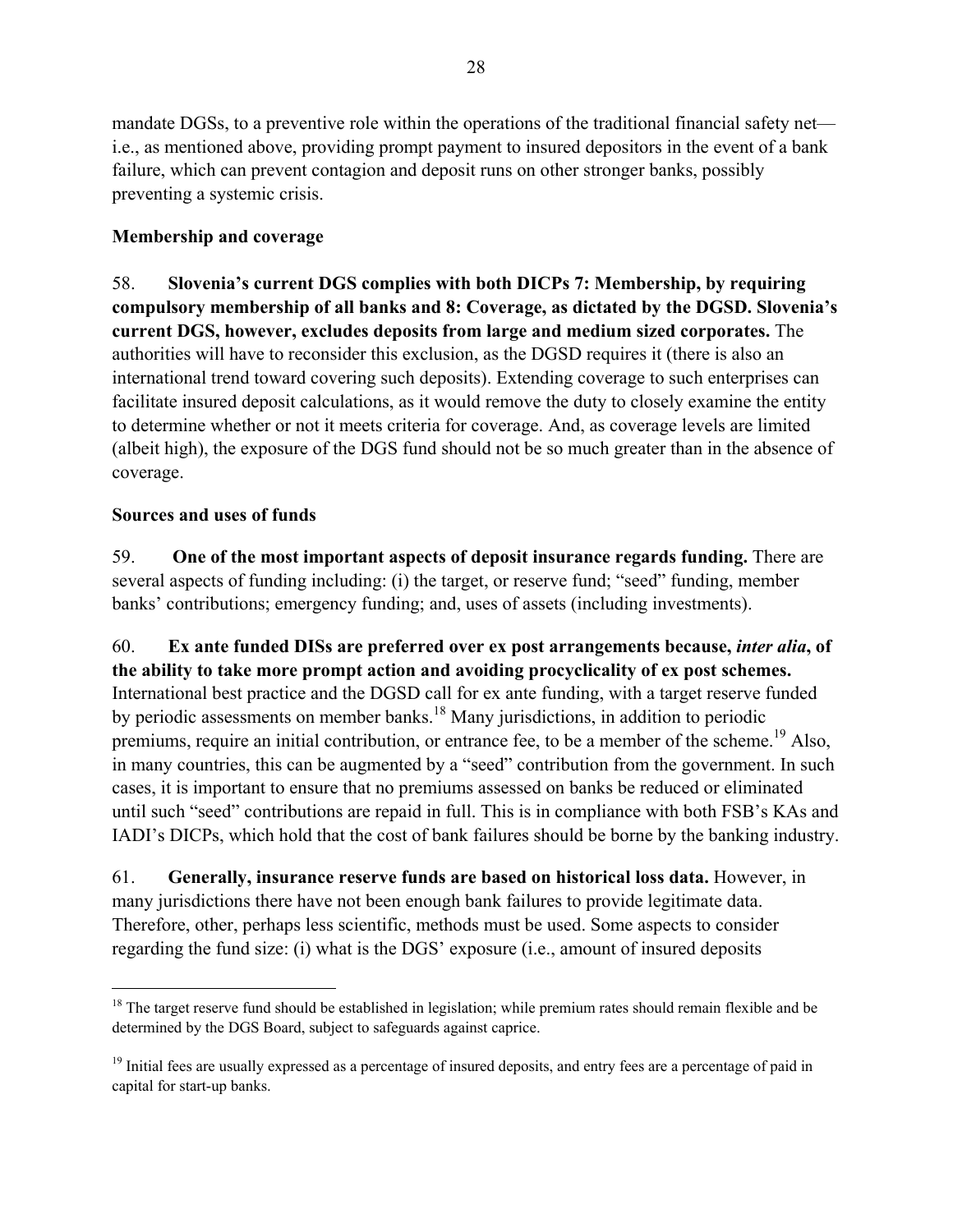mandate DGSs, to a preventive role within the operations of the traditional financial safety net i.e., as mentioned above, providing prompt payment to insured depositors in the event of a bank failure, which can prevent contagion and deposit runs on other stronger banks, possibly preventing a systemic crisis.

# **Membership and coverage**

58. **Slovenia's current DGS complies with both DICPs 7: Membership, by requiring compulsory membership of all banks and 8: Coverage, as dictated by the DGSD. Slovenia's current DGS, however, excludes deposits from large and medium sized corporates.** The authorities will have to reconsider this exclusion, as the DGSD requires it (there is also an international trend toward covering such deposits). Extending coverage to such enterprises can facilitate insured deposit calculations, as it would remove the duty to closely examine the entity to determine whether or not it meets criteria for coverage. And, as coverage levels are limited (albeit high), the exposure of the DGS fund should not be so much greater than in the absence of coverage.

## **Sources and uses of funds**

 $\overline{a}$ 

59. **One of the most important aspects of deposit insurance regards funding.** There are several aspects of funding including: (i) the target, or reserve fund; "seed" funding, member banks' contributions; emergency funding; and, uses of assets (including investments).

60. **Ex ante funded DISs are preferred over ex post arrangements because,** *inter alia***, of the ability to take more prompt action and avoiding procyclicality of ex post schemes.**  International best practice and the DGSD call for ex ante funding, with a target reserve funded by periodic assessments on member banks.<sup>18</sup> Many jurisdictions, in addition to periodic premiums, require an initial contribution, or entrance fee, to be a member of the scheme.<sup>19</sup> Also, in many countries, this can be augmented by a "seed" contribution from the government. In such cases, it is important to ensure that no premiums assessed on banks be reduced or eliminated until such "seed" contributions are repaid in full. This is in compliance with both FSB's KAs and IADI's DICPs, which hold that the cost of bank failures should be borne by the banking industry.

61. **Generally, insurance reserve funds are based on historical loss data.** However, in many jurisdictions there have not been enough bank failures to provide legitimate data. Therefore, other, perhaps less scientific, methods must be used. Some aspects to consider regarding the fund size: (i) what is the DGS' exposure (i.e., amount of insured deposits

 $18$  The target reserve fund should be established in legislation; while premium rates should remain flexible and be determined by the DGS Board, subject to safeguards against caprice.

 $19$  Initial fees are usually expressed as a percentage of insured deposits, and entry fees are a percentage of paid in capital for start-up banks.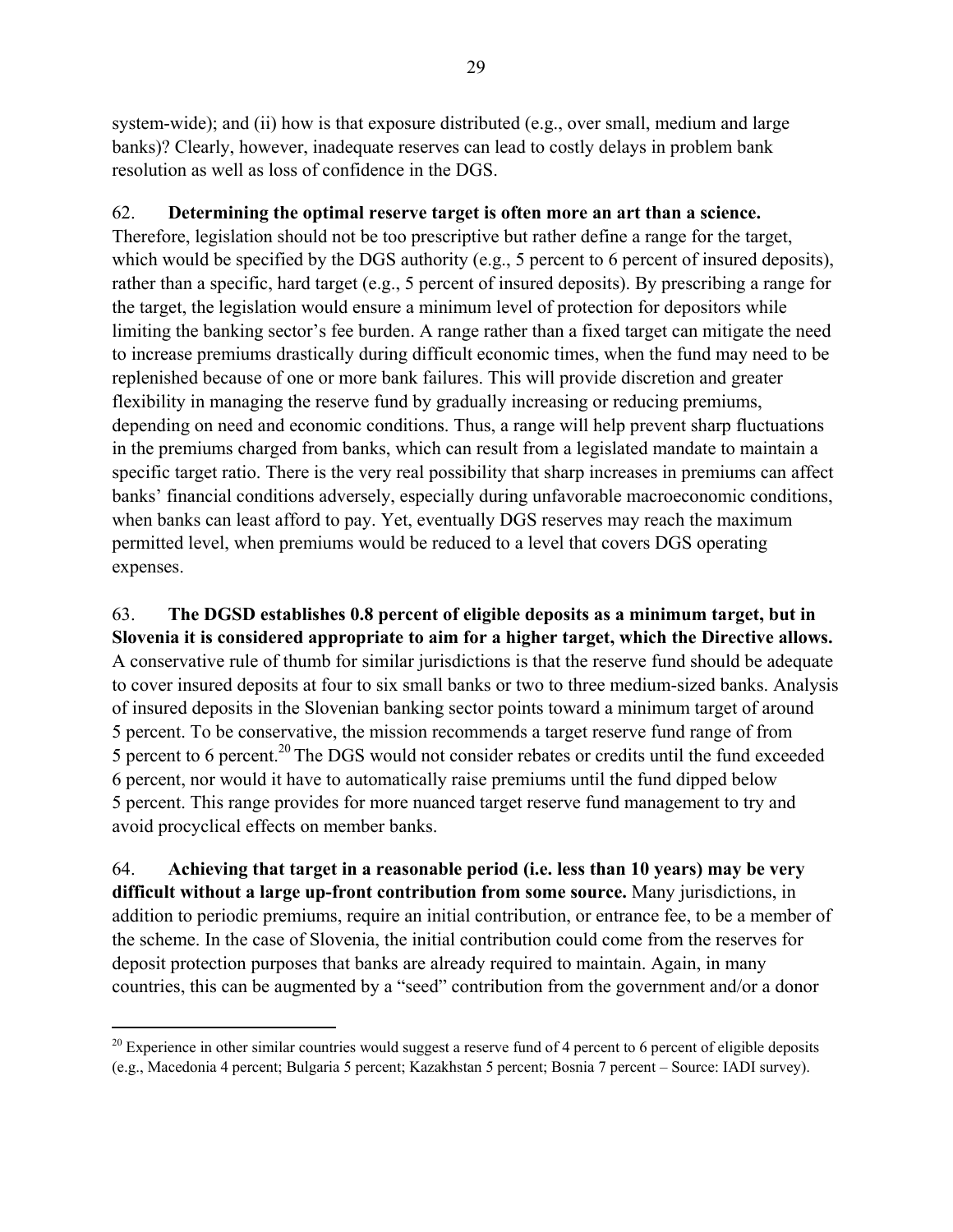system-wide); and (ii) how is that exposure distributed (e.g., over small, medium and large banks)? Clearly, however, inadequate reserves can lead to costly delays in problem bank resolution as well as loss of confidence in the DGS.

# 62. **Determining the optimal reserve target is often more an art than a science.**

Therefore, legislation should not be too prescriptive but rather define a range for the target, which would be specified by the DGS authority (e.g., 5 percent to 6 percent of insured deposits), rather than a specific, hard target (e.g., 5 percent of insured deposits). By prescribing a range for the target, the legislation would ensure a minimum level of protection for depositors while limiting the banking sector's fee burden. A range rather than a fixed target can mitigate the need to increase premiums drastically during difficult economic times, when the fund may need to be replenished because of one or more bank failures. This will provide discretion and greater flexibility in managing the reserve fund by gradually increasing or reducing premiums, depending on need and economic conditions. Thus, a range will help prevent sharp fluctuations in the premiums charged from banks, which can result from a legislated mandate to maintain a specific target ratio. There is the very real possibility that sharp increases in premiums can affect banks' financial conditions adversely, especially during unfavorable macroeconomic conditions, when banks can least afford to pay. Yet, eventually DGS reserves may reach the maximum permitted level, when premiums would be reduced to a level that covers DGS operating expenses.

63. **The DGSD establishes 0.8 percent of eligible deposits as a minimum target, but in Slovenia it is considered appropriate to aim for a higher target, which the Directive allows.** A conservative rule of thumb for similar jurisdictions is that the reserve fund should be adequate to cover insured deposits at four to six small banks or two to three medium-sized banks. Analysis of insured deposits in the Slovenian banking sector points toward a minimum target of around 5 percent. To be conservative, the mission recommends a target reserve fund range of from 5 percent to 6 percent.20 The DGS would not consider rebates or credits until the fund exceeded 6 percent, nor would it have to automatically raise premiums until the fund dipped below 5 percent. This range provides for more nuanced target reserve fund management to try and avoid procyclical effects on member banks.

64. **Achieving that target in a reasonable period (i.e. less than 10 years) may be very difficult without a large up-front contribution from some source.** Many jurisdictions, in addition to periodic premiums, require an initial contribution, or entrance fee, to be a member of the scheme. In the case of Slovenia, the initial contribution could come from the reserves for deposit protection purposes that banks are already required to maintain. Again, in many countries, this can be augmented by a "seed" contribution from the government and/or a donor

 $\overline{a}$ 

 $20$  Experience in other similar countries would suggest a reserve fund of 4 percent to 6 percent of eligible deposits (e.g., Macedonia 4 percent; Bulgaria 5 percent; Kazakhstan 5 percent; Bosnia 7 percent – Source: IADI survey).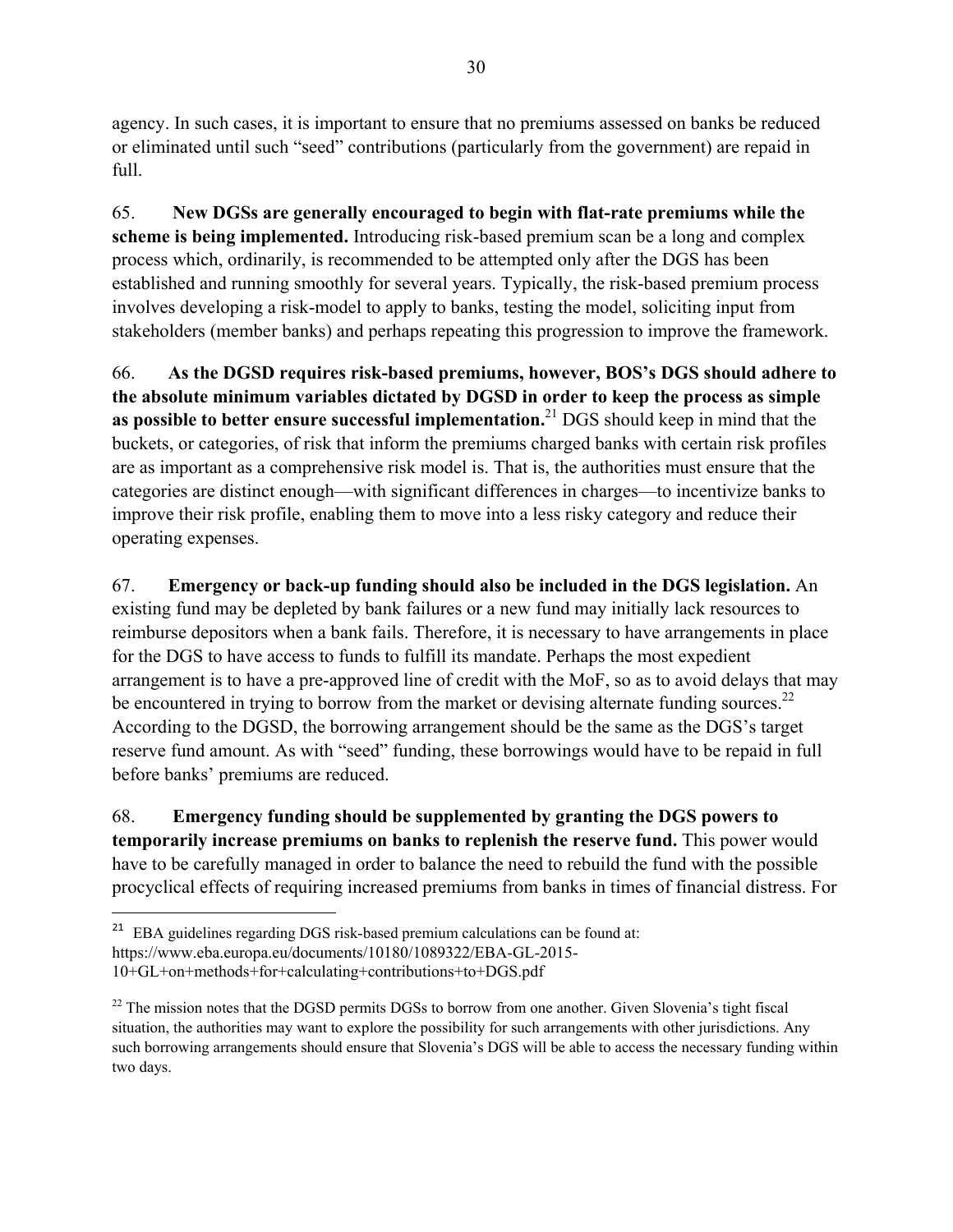agency. In such cases, it is important to ensure that no premiums assessed on banks be reduced or eliminated until such "seed" contributions (particularly from the government) are repaid in full.

65. **New DGSs are generally encouraged to begin with flat-rate premiums while the scheme is being implemented.** Introducing risk-based premium scan be a long and complex process which, ordinarily, is recommended to be attempted only after the DGS has been established and running smoothly for several years. Typically, the risk-based premium process involves developing a risk-model to apply to banks, testing the model, soliciting input from stakeholders (member banks) and perhaps repeating this progression to improve the framework.

66. **As the DGSD requires risk-based premiums, however, BOS's DGS should adhere to the absolute minimum variables dictated by DGSD in order to keep the process as simple as possible to better ensure successful implementation.**21 DGS should keep in mind that the buckets, or categories, of risk that inform the premiums charged banks with certain risk profiles are as important as a comprehensive risk model is. That is, the authorities must ensure that the categories are distinct enough—with significant differences in charges—to incentivize banks to improve their risk profile, enabling them to move into a less risky category and reduce their operating expenses.

67. **Emergency or back-up funding should also be included in the DGS legislation.** An existing fund may be depleted by bank failures or a new fund may initially lack resources to reimburse depositors when a bank fails. Therefore, it is necessary to have arrangements in place for the DGS to have access to funds to fulfill its mandate. Perhaps the most expedient arrangement is to have a pre-approved line of credit with the MoF, so as to avoid delays that may be encountered in trying to borrow from the market or devising alternate funding sources.<sup>22</sup> According to the DGSD, the borrowing arrangement should be the same as the DGS's target reserve fund amount. As with "seed" funding, these borrowings would have to be repaid in full before banks' premiums are reduced.

68. **Emergency funding should be supplemented by granting the DGS powers to temporarily increase premiums on banks to replenish the reserve fund.** This power would have to be carefully managed in order to balance the need to rebuild the fund with the possible procyclical effects of requiring increased premiums from banks in times of financial distress. For

1

<sup>&</sup>lt;sup>21</sup> EBA guidelines regarding DGS risk-based premium calculations can be found at:

https://www.eba.europa.eu/documents/10180/1089322/EBA-GL-2015-

<sup>10+</sup>GL+on+methods+for+calculating+contributions+to+DGS.pdf

 $22$  The mission notes that the DGSD permits DGSs to borrow from one another. Given Slovenia's tight fiscal situation, the authorities may want to explore the possibility for such arrangements with other jurisdictions. Any such borrowing arrangements should ensure that Slovenia's DGS will be able to access the necessary funding within two days.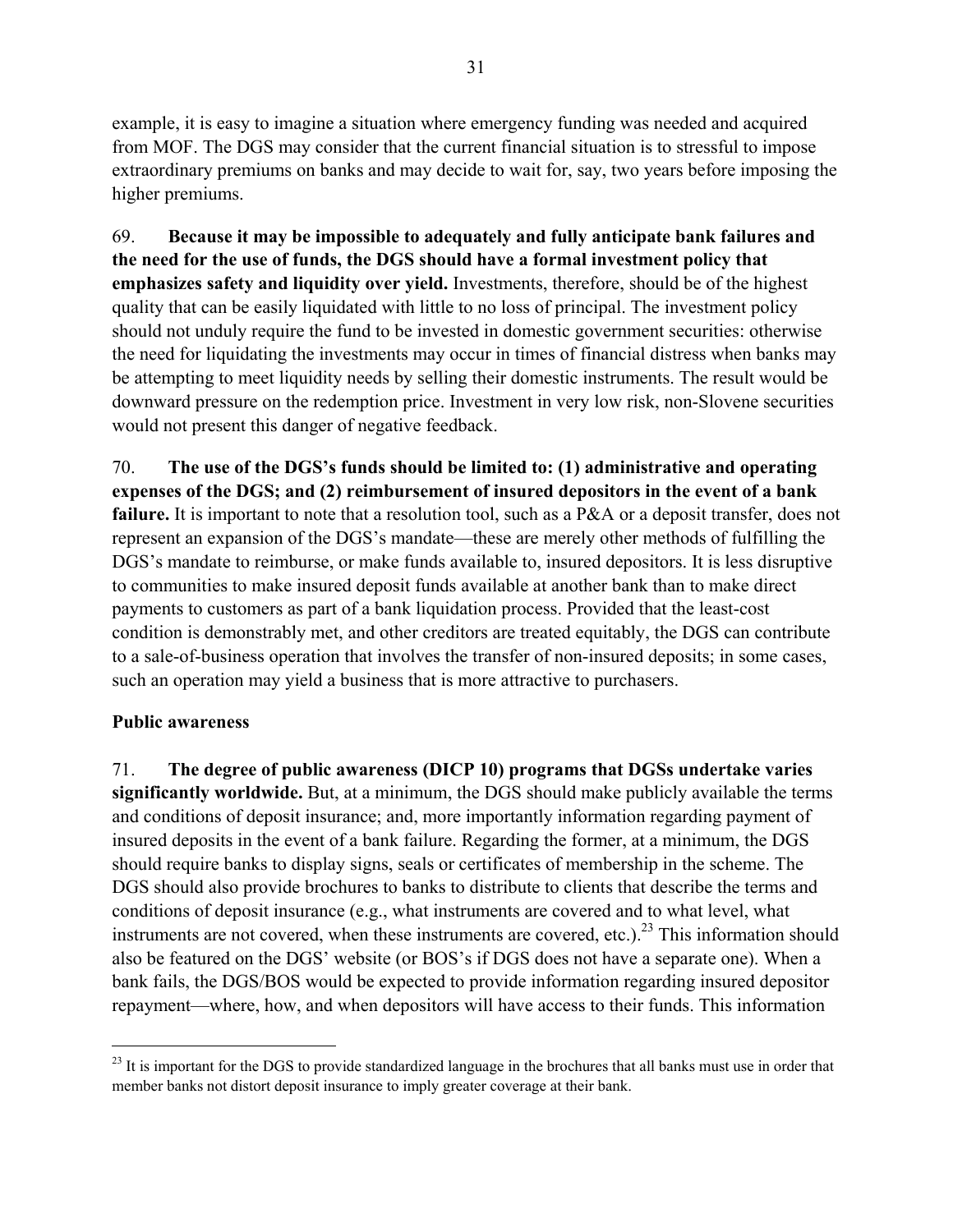example, it is easy to imagine a situation where emergency funding was needed and acquired from MOF. The DGS may consider that the current financial situation is to stressful to impose extraordinary premiums on banks and may decide to wait for, say, two years before imposing the higher premiums.

69. **Because it may be impossible to adequately and fully anticipate bank failures and the need for the use of funds, the DGS should have a formal investment policy that emphasizes safety and liquidity over yield.** Investments, therefore, should be of the highest quality that can be easily liquidated with little to no loss of principal. The investment policy should not unduly require the fund to be invested in domestic government securities: otherwise the need for liquidating the investments may occur in times of financial distress when banks may be attempting to meet liquidity needs by selling their domestic instruments. The result would be downward pressure on the redemption price. Investment in very low risk, non-Slovene securities would not present this danger of negative feedback.

70. **The use of the DGS's funds should be limited to: (1) administrative and operating expenses of the DGS; and (2) reimbursement of insured depositors in the event of a bank**  failure. It is important to note that a resolution tool, such as a P&A or a deposit transfer, does not represent an expansion of the DGS's mandate—these are merely other methods of fulfilling the DGS's mandate to reimburse, or make funds available to, insured depositors. It is less disruptive to communities to make insured deposit funds available at another bank than to make direct payments to customers as part of a bank liquidation process. Provided that the least-cost condition is demonstrably met, and other creditors are treated equitably, the DGS can contribute to a sale-of-business operation that involves the transfer of non-insured deposits; in some cases, such an operation may yield a business that is more attractive to purchasers.

## **Public awareness**

<u>.</u>

71. **The degree of public awareness (DICP 10) programs that DGSs undertake varies significantly worldwide.** But, at a minimum, the DGS should make publicly available the terms and conditions of deposit insurance; and, more importantly information regarding payment of insured deposits in the event of a bank failure. Regarding the former, at a minimum, the DGS should require banks to display signs, seals or certificates of membership in the scheme. The DGS should also provide brochures to banks to distribute to clients that describe the terms and conditions of deposit insurance (e.g., what instruments are covered and to what level, what instruments are not covered, when these instruments are covered, etc.).<sup>23</sup> This information should also be featured on the DGS' website (or BOS's if DGS does not have a separate one). When a bank fails, the DGS/BOS would be expected to provide information regarding insured depositor repayment—where, how, and when depositors will have access to their funds. This information

 $^{23}$  It is important for the DGS to provide standardized language in the brochures that all banks must use in order that member banks not distort deposit insurance to imply greater coverage at their bank.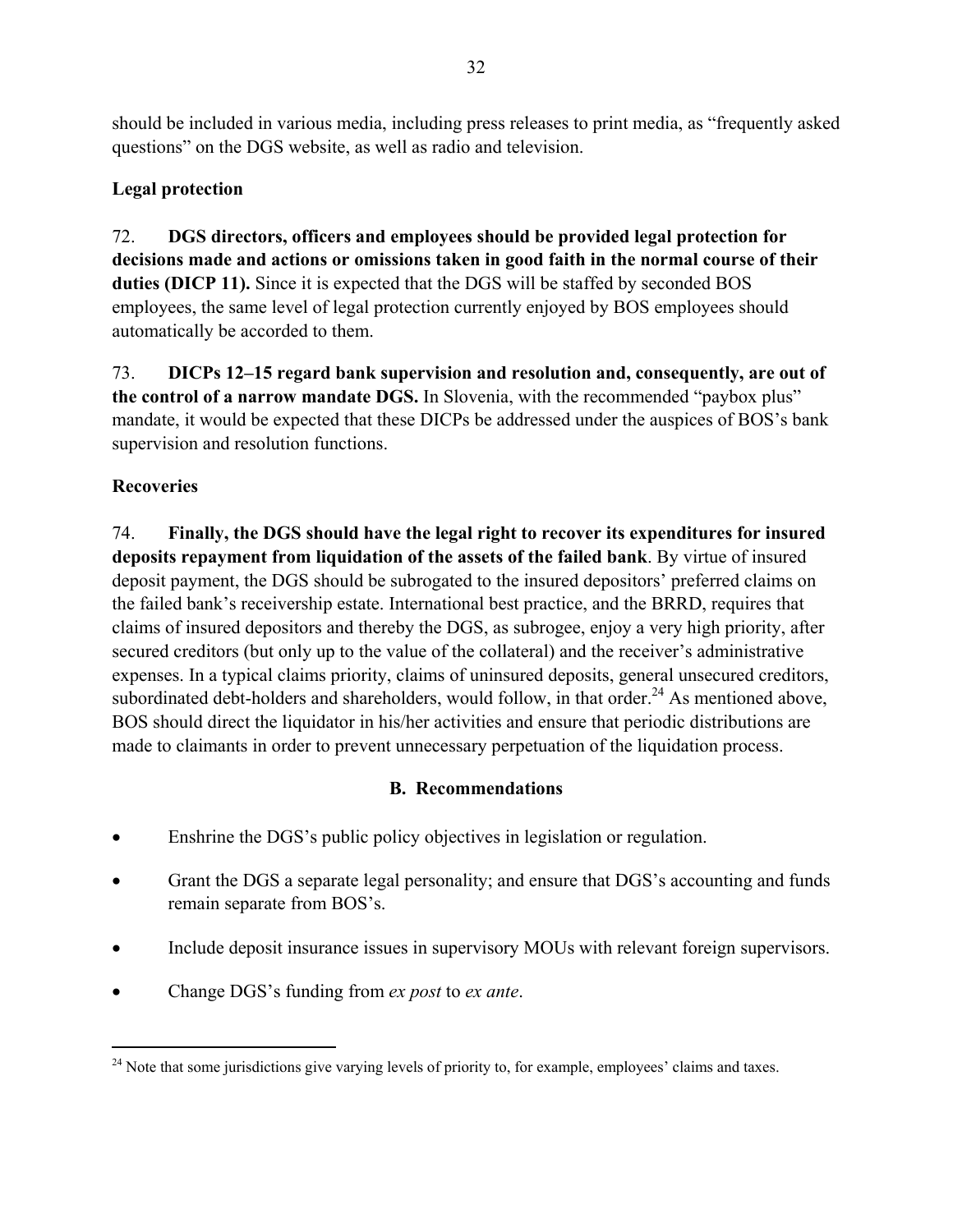should be included in various media, including press releases to print media, as "frequently asked questions" on the DGS website, as well as radio and television.

# **Legal protection**

72. **DGS directors, officers and employees should be provided legal protection for decisions made and actions or omissions taken in good faith in the normal course of their duties (DICP 11).** Since it is expected that the DGS will be staffed by seconded BOS employees, the same level of legal protection currently enjoyed by BOS employees should automatically be accorded to them.

73. **DICPs 12–15 regard bank supervision and resolution and, consequently, are out of the control of a narrow mandate DGS.** In Slovenia, with the recommended "paybox plus" mandate, it would be expected that these DICPs be addressed under the auspices of BOS's bank supervision and resolution functions.

# **Recoveries**

1

74. **Finally, the DGS should have the legal right to recover its expenditures for insured deposits repayment from liquidation of the assets of the failed bank**. By virtue of insured deposit payment, the DGS should be subrogated to the insured depositors' preferred claims on the failed bank's receivership estate. International best practice, and the BRRD, requires that claims of insured depositors and thereby the DGS, as subrogee, enjoy a very high priority, after secured creditors (but only up to the value of the collateral) and the receiver's administrative expenses. In a typical claims priority, claims of uninsured deposits, general unsecured creditors, subordinated debt-holders and shareholders, would follow, in that order.<sup>24</sup> As mentioned above, BOS should direct the liquidator in his/her activities and ensure that periodic distributions are made to claimants in order to prevent unnecessary perpetuation of the liquidation process.

# **B. Recommendations**

- Enshrine the DGS's public policy objectives in legislation or regulation.
- Grant the DGS a separate legal personality; and ensure that DGS's accounting and funds remain separate from BOS's.
- Include deposit insurance issues in supervisory MOUs with relevant foreign supervisors.
- Change DGS's funding from *ex post* to *ex ante*.

<sup>&</sup>lt;sup>24</sup> Note that some jurisdictions give varying levels of priority to, for example, employees' claims and taxes.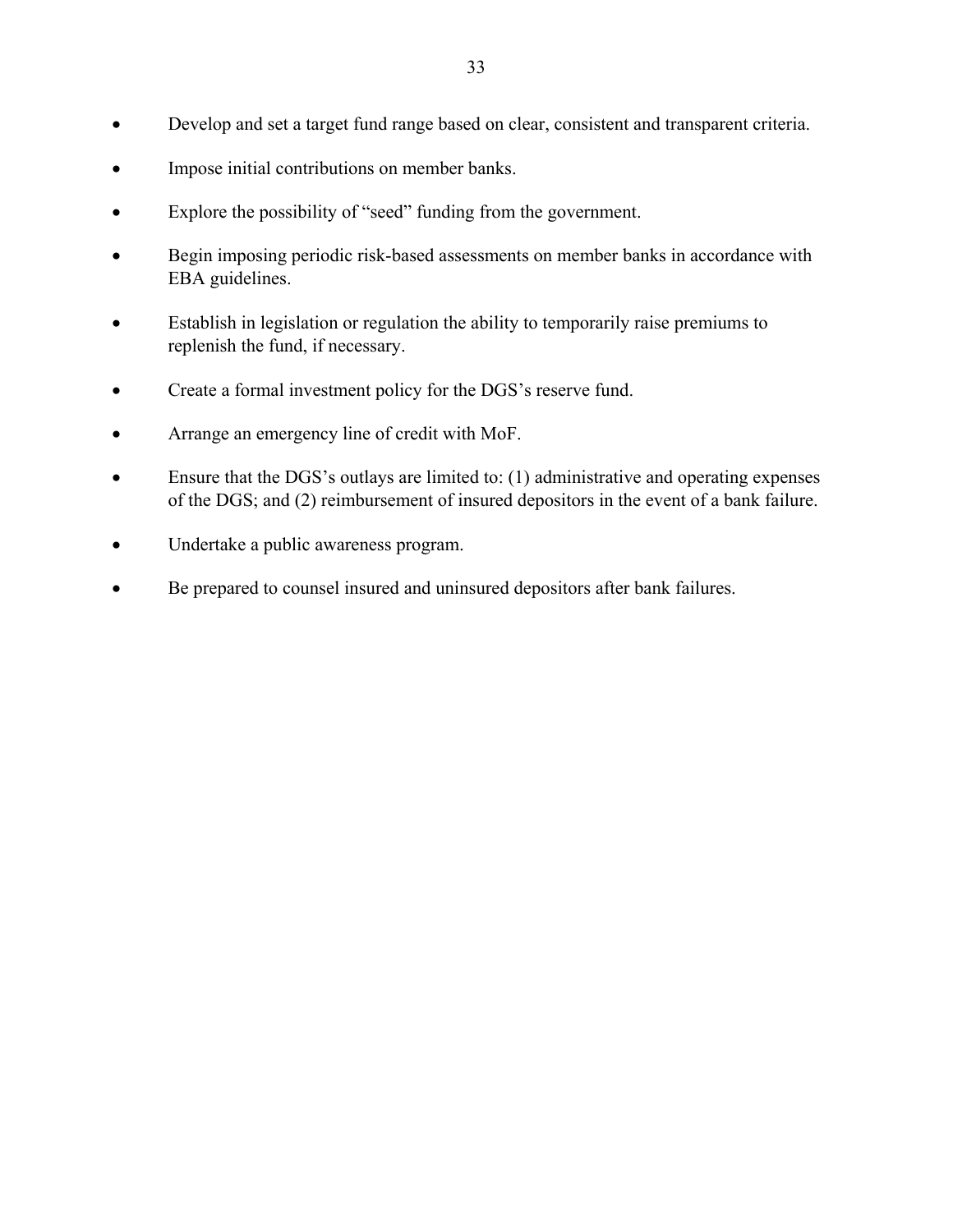- Develop and set a target fund range based on clear, consistent and transparent criteria.
- Impose initial contributions on member banks.
- Explore the possibility of "seed" funding from the government.
- Begin imposing periodic risk-based assessments on member banks in accordance with EBA guidelines.
- Establish in legislation or regulation the ability to temporarily raise premiums to replenish the fund, if necessary.
- Create a formal investment policy for the DGS's reserve fund.
- Arrange an emergency line of credit with MoF.
- Ensure that the DGS's outlays are limited to: (1) administrative and operating expenses of the DGS; and (2) reimbursement of insured depositors in the event of a bank failure.
- Undertake a public awareness program.
- Be prepared to counsel insured and uninsured depositors after bank failures.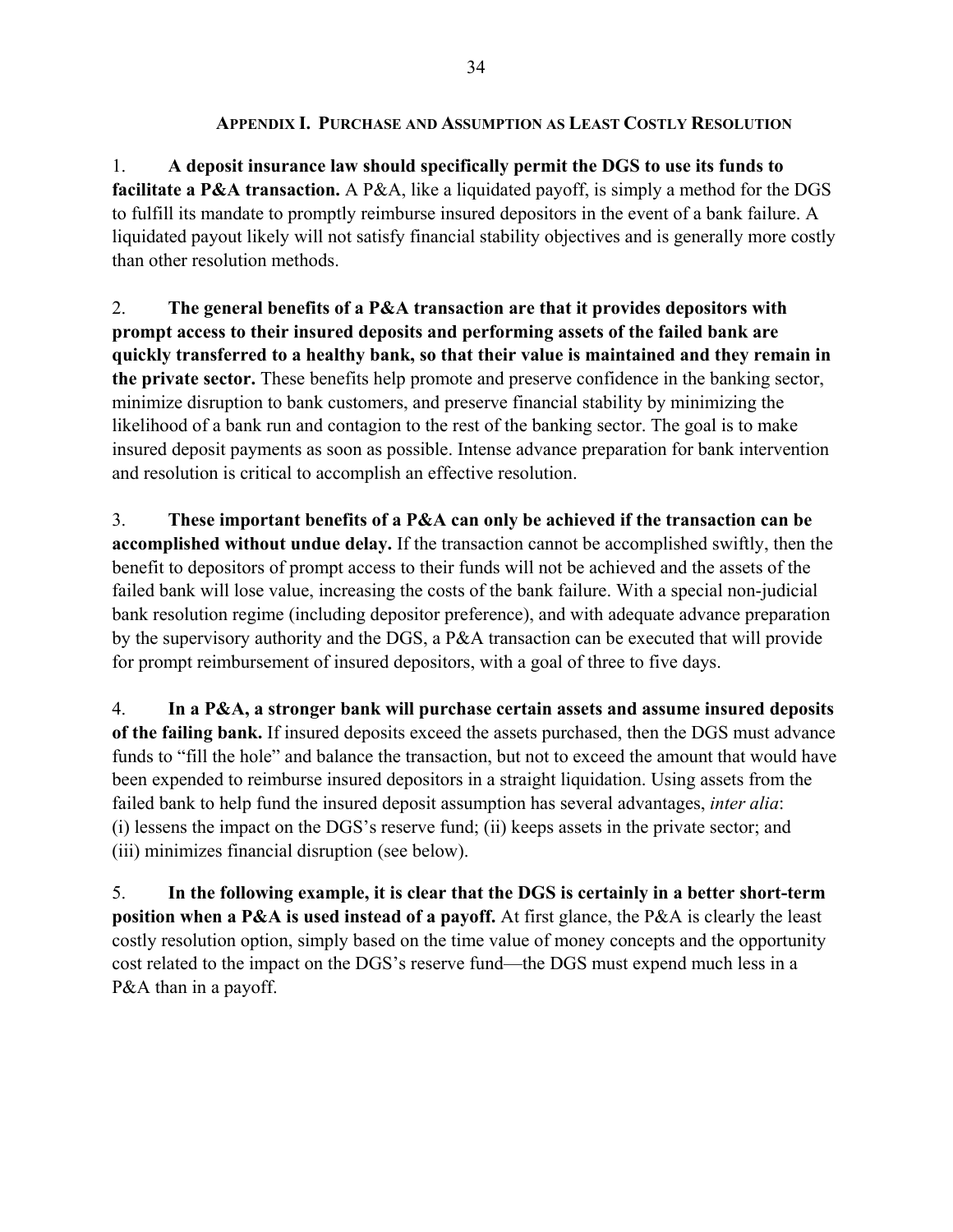1. **A deposit insurance law should specifically permit the DGS to use its funds to facilitate a P&A transaction.** A P&A, like a liquidated payoff, is simply a method for the DGS to fulfill its mandate to promptly reimburse insured depositors in the event of a bank failure. A liquidated payout likely will not satisfy financial stability objectives and is generally more costly than other resolution methods.

2. **The general benefits of a P&A transaction are that it provides depositors with prompt access to their insured deposits and performing assets of the failed bank are quickly transferred to a healthy bank, so that their value is maintained and they remain in the private sector.** These benefits help promote and preserve confidence in the banking sector, minimize disruption to bank customers, and preserve financial stability by minimizing the likelihood of a bank run and contagion to the rest of the banking sector. The goal is to make insured deposit payments as soon as possible. Intense advance preparation for bank intervention and resolution is critical to accomplish an effective resolution.

3. **These important benefits of a P&A can only be achieved if the transaction can be accomplished without undue delay.** If the transaction cannot be accomplished swiftly, then the benefit to depositors of prompt access to their funds will not be achieved and the assets of the failed bank will lose value, increasing the costs of the bank failure. With a special non-judicial bank resolution regime (including depositor preference), and with adequate advance preparation by the supervisory authority and the DGS, a P&A transaction can be executed that will provide for prompt reimbursement of insured depositors, with a goal of three to five days.

4. **In a P&A, a stronger bank will purchase certain assets and assume insured deposits of the failing bank.** If insured deposits exceed the assets purchased, then the DGS must advance funds to "fill the hole" and balance the transaction, but not to exceed the amount that would have been expended to reimburse insured depositors in a straight liquidation. Using assets from the failed bank to help fund the insured deposit assumption has several advantages, *inter alia*: (i) lessens the impact on the DGS's reserve fund; (ii) keeps assets in the private sector; and (iii) minimizes financial disruption (see below).

5. **In the following example, it is clear that the DGS is certainly in a better short-term position when a P&A is used instead of a payoff.** At first glance, the P&A is clearly the least costly resolution option, simply based on the time value of money concepts and the opportunity cost related to the impact on the DGS's reserve fund—the DGS must expend much less in a P&A than in a payoff.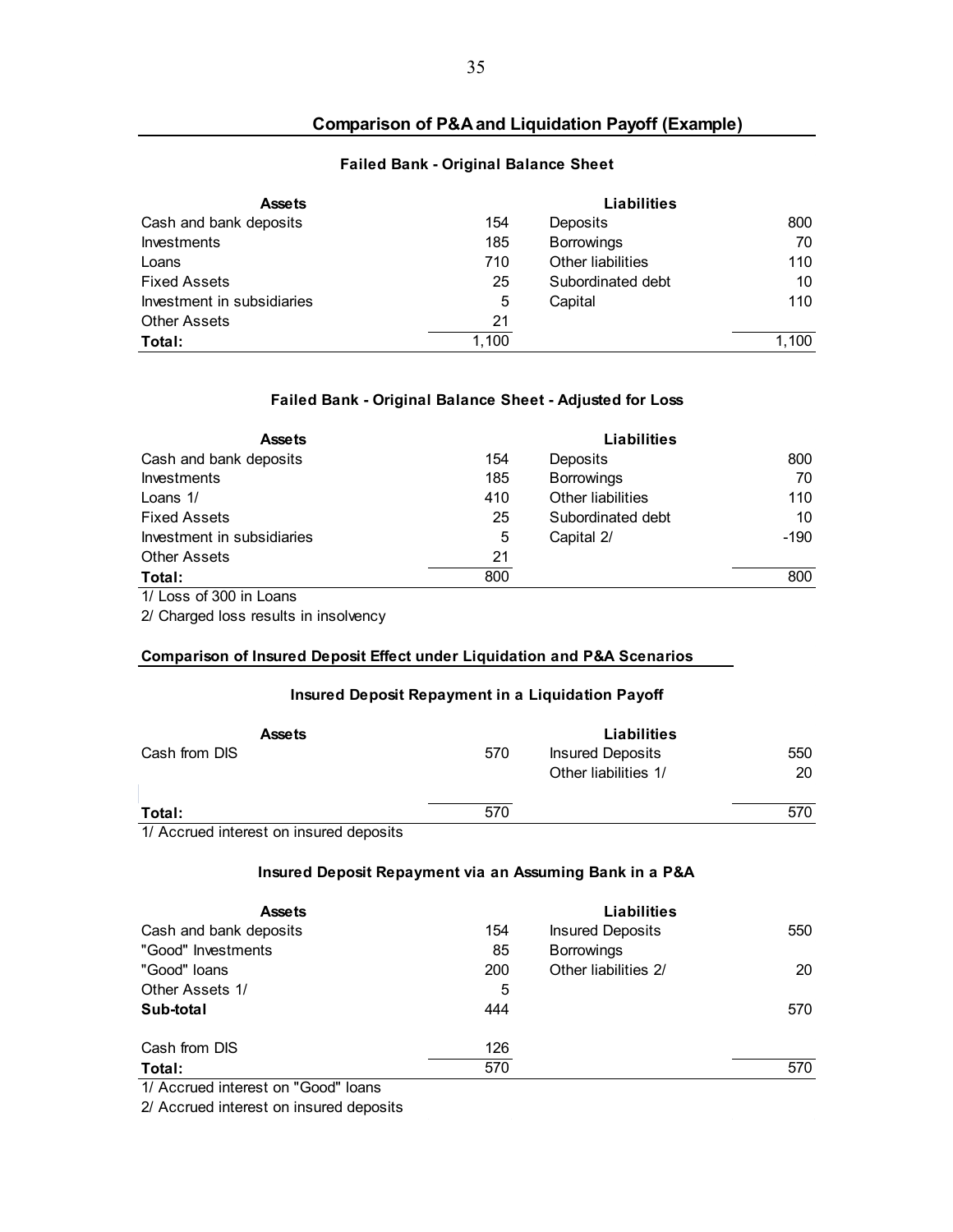### **Comparison of P&A and Liquidation Payoff (Example)**

#### **Failed Bank - Original Balance Sheet**

| <b>Assets</b>              |       | Liabilities       |       |
|----------------------------|-------|-------------------|-------|
| Cash and bank deposits     | 154   | Deposits          | 800   |
| Investments                | 185   | <b>Borrowings</b> | 70    |
| Loans                      | 710   | Other liabilities | 110   |
| <b>Fixed Assets</b>        | 25    | Subordinated debt | 10    |
| Investment in subsidiaries | 5     | Capital           | 110   |
| <b>Other Assets</b>        | 21    |                   |       |
| Total:                     | 1.100 |                   | 1.100 |

#### **Failed Bank - Original Balance Sheet - Adjusted for Loss**

| <b>Assets</b>              |     | <b>Liabilities</b> |        |
|----------------------------|-----|--------------------|--------|
| Cash and bank deposits     | 154 | Deposits           | 800    |
| Investments                | 185 | <b>Borrowings</b>  | 70     |
| Loans 1/                   | 410 | Other liabilities  | 110    |
| <b>Fixed Assets</b>        | 25  | Subordinated debt  | 10     |
| Investment in subsidiaries | 5   | Capital 2/         | $-190$ |
| <b>Other Assets</b>        | 21  |                    |        |
| Total:                     | 800 |                    | 800    |

1/ Loss of 300 in Loans

2/ Charged loss results in insolvency

#### **Comparison of Insured Deposit Effect under Liquidation and P&A Scenarios**

#### **Insured Deposit Repayment in a Liquidation Payoff**

| <b>Assets</b> |     | Liabilities             |     |
|---------------|-----|-------------------------|-----|
| Cash from DIS | 570 | <b>Insured Deposits</b> | 550 |
|               |     | Other liabilities 1/    | 20  |
| Total:        | 570 |                         | 570 |

1/ Accrued interest on insured deposits

#### **Insured Deposit Repayment via an Assuming Bank in a P&A**

| <b>Assets</b>          |     | Liabilities             |     |
|------------------------|-----|-------------------------|-----|
| Cash and bank deposits | 154 | <b>Insured Deposits</b> | 550 |
| "Good" Investments     | 85  | <b>Borrowings</b>       |     |
| "Good" loans           | 200 | Other liabilities 2/    | 20  |
| Other Assets 1/        | 5   |                         |     |
| Sub-total              | 444 |                         | 570 |
| Cash from DIS          | 126 |                         |     |
| Total:                 | 570 |                         | 570 |

1/ Accrued interest on "Good" loans

2/ Accrued interest on insured deposits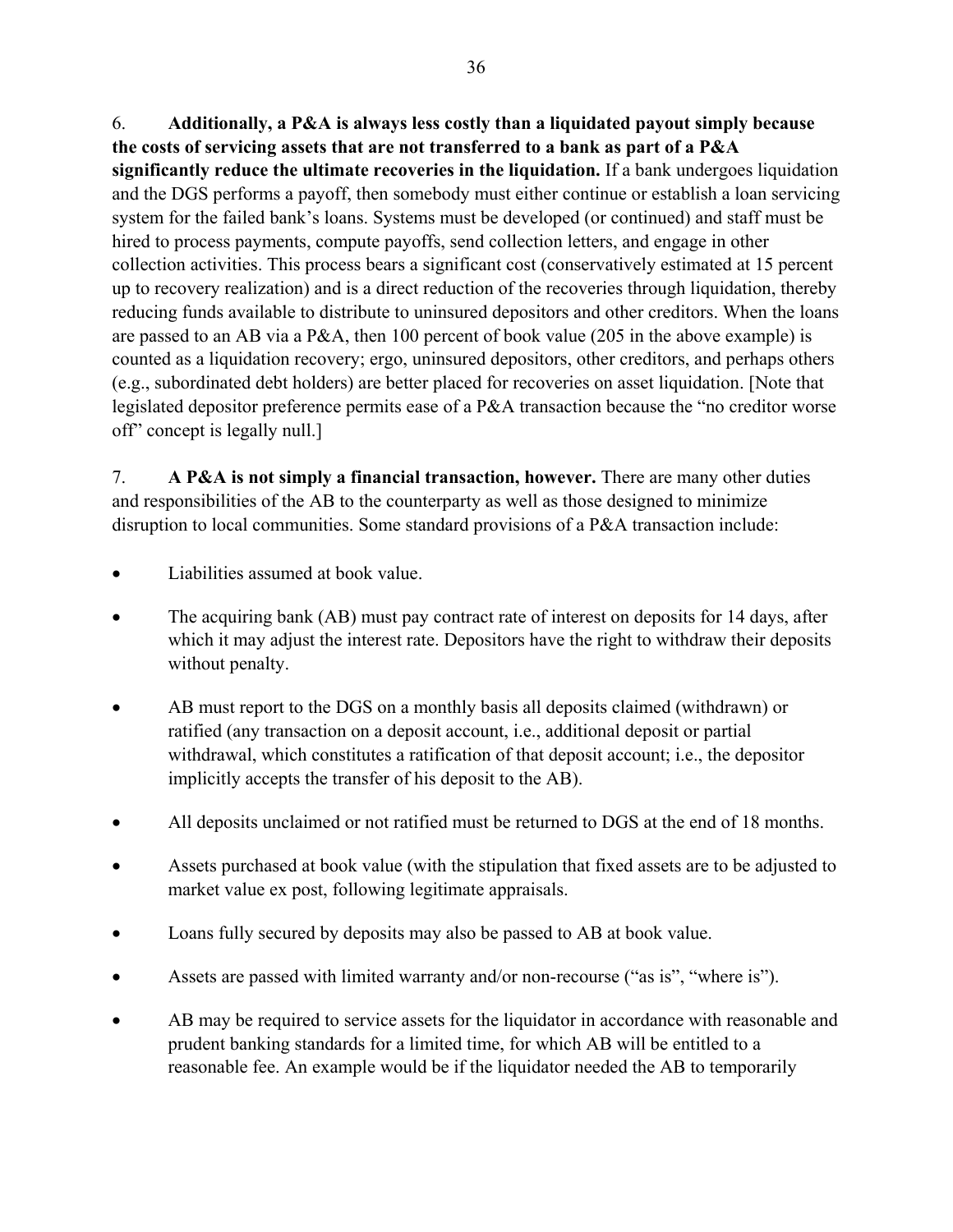6. **Additionally, a P&A is always less costly than a liquidated payout simply because the costs of servicing assets that are not transferred to a bank as part of a P&A significantly reduce the ultimate recoveries in the liquidation.** If a bank undergoes liquidation and the DGS performs a payoff, then somebody must either continue or establish a loan servicing system for the failed bank's loans. Systems must be developed (or continued) and staff must be hired to process payments, compute payoffs, send collection letters, and engage in other collection activities. This process bears a significant cost (conservatively estimated at 15 percent up to recovery realization) and is a direct reduction of the recoveries through liquidation, thereby reducing funds available to distribute to uninsured depositors and other creditors. When the loans are passed to an AB via a P&A, then 100 percent of book value (205 in the above example) is counted as a liquidation recovery; ergo, uninsured depositors, other creditors, and perhaps others (e.g., subordinated debt holders) are better placed for recoveries on asset liquidation. [Note that legislated depositor preference permits ease of a P&A transaction because the "no creditor worse off" concept is legally null.]

7. **A P&A is not simply a financial transaction, however.** There are many other duties and responsibilities of the AB to the counterparty as well as those designed to minimize disruption to local communities. Some standard provisions of a P&A transaction include:

- Liabilities assumed at book value.
- The acquiring bank (AB) must pay contract rate of interest on deposits for 14 days, after which it may adjust the interest rate. Depositors have the right to withdraw their deposits without penalty.
- AB must report to the DGS on a monthly basis all deposits claimed (withdrawn) or ratified (any transaction on a deposit account, i.e., additional deposit or partial withdrawal, which constitutes a ratification of that deposit account; i.e., the depositor implicitly accepts the transfer of his deposit to the AB).
- All deposits unclaimed or not ratified must be returned to DGS at the end of 18 months.
- Assets purchased at book value (with the stipulation that fixed assets are to be adjusted to market value ex post, following legitimate appraisals.
- Loans fully secured by deposits may also be passed to AB at book value.
- Assets are passed with limited warranty and/or non-recourse ("as is", "where is").
- AB may be required to service assets for the liquidator in accordance with reasonable and prudent banking standards for a limited time, for which AB will be entitled to a reasonable fee. An example would be if the liquidator needed the AB to temporarily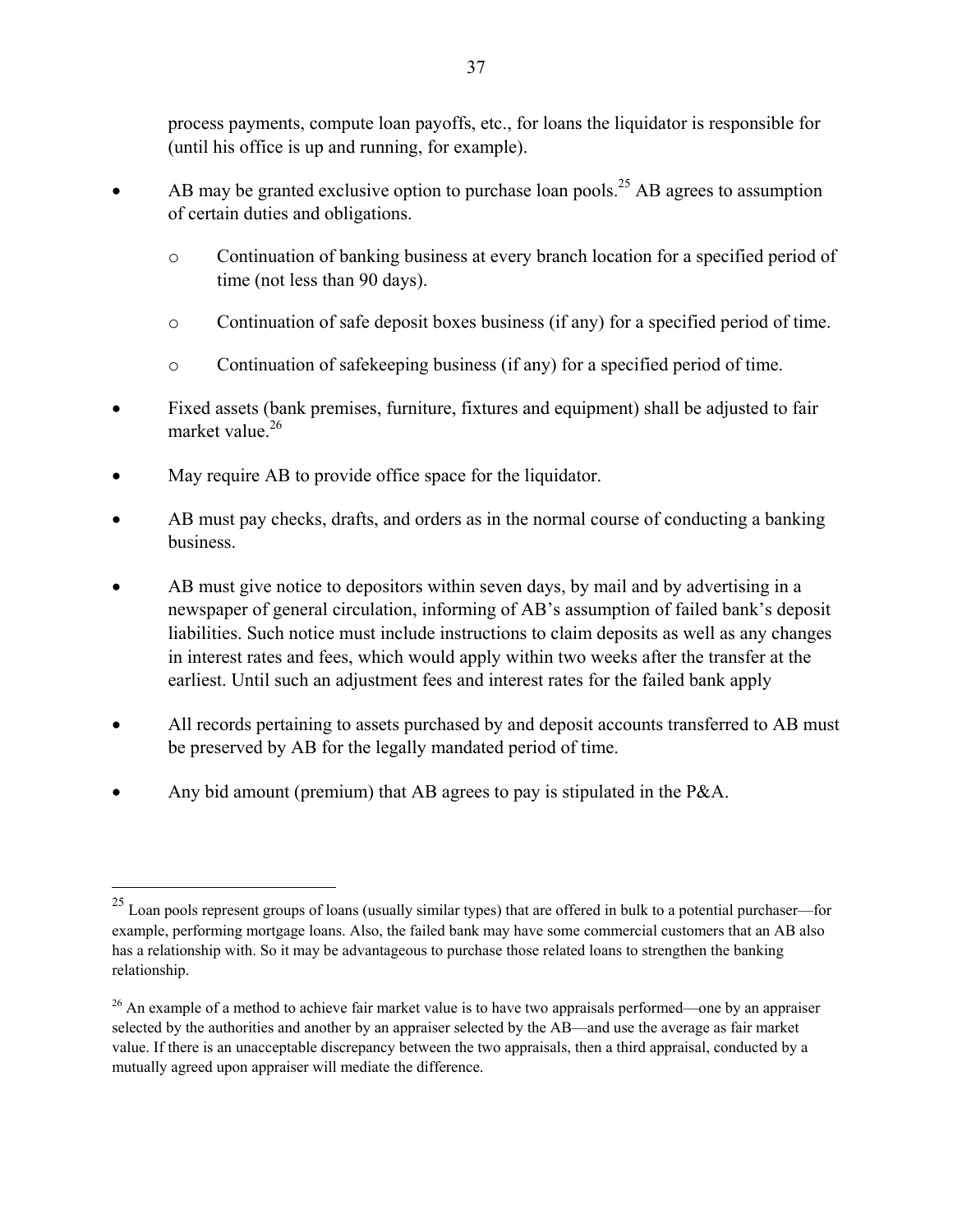process payments, compute loan payoffs, etc., for loans the liquidator is responsible for (until his office is up and running, for example).

- $\bullet$  AB may be granted exclusive option to purchase loan pools.<sup>25</sup> AB agrees to assumption of certain duties and obligations.
	- o Continuation of banking business at every branch location for a specified period of time (not less than 90 days).
	- o Continuation of safe deposit boxes business (if any) for a specified period of time.
	- o Continuation of safekeeping business (if any) for a specified period of time.
- Fixed assets (bank premises, furniture, fixtures and equipment) shall be adjusted to fair market value  $^{26}$
- May require AB to provide office space for the liquidator.

 $\overline{a}$ 

- AB must pay checks, drafts, and orders as in the normal course of conducting a banking business.
- AB must give notice to depositors within seven days, by mail and by advertising in a newspaper of general circulation, informing of AB's assumption of failed bank's deposit liabilities. Such notice must include instructions to claim deposits as well as any changes in interest rates and fees, which would apply within two weeks after the transfer at the earliest. Until such an adjustment fees and interest rates for the failed bank apply
- All records pertaining to assets purchased by and deposit accounts transferred to AB must be preserved by AB for the legally mandated period of time.
- Any bid amount (premium) that AB agrees to pay is stipulated in the P&A.

<sup>&</sup>lt;sup>25</sup> Loan pools represent groups of loans (usually similar types) that are offered in bulk to a potential purchaser—for example, performing mortgage loans. Also, the failed bank may have some commercial customers that an AB also has a relationship with. So it may be advantageous to purchase those related loans to strengthen the banking relationship.

<sup>&</sup>lt;sup>26</sup> An example of a method to achieve fair market value is to have two appraisals performed—one by an appraiser selected by the authorities and another by an appraiser selected by the AB—and use the average as fair market value. If there is an unacceptable discrepancy between the two appraisals, then a third appraisal, conducted by a mutually agreed upon appraiser will mediate the difference.